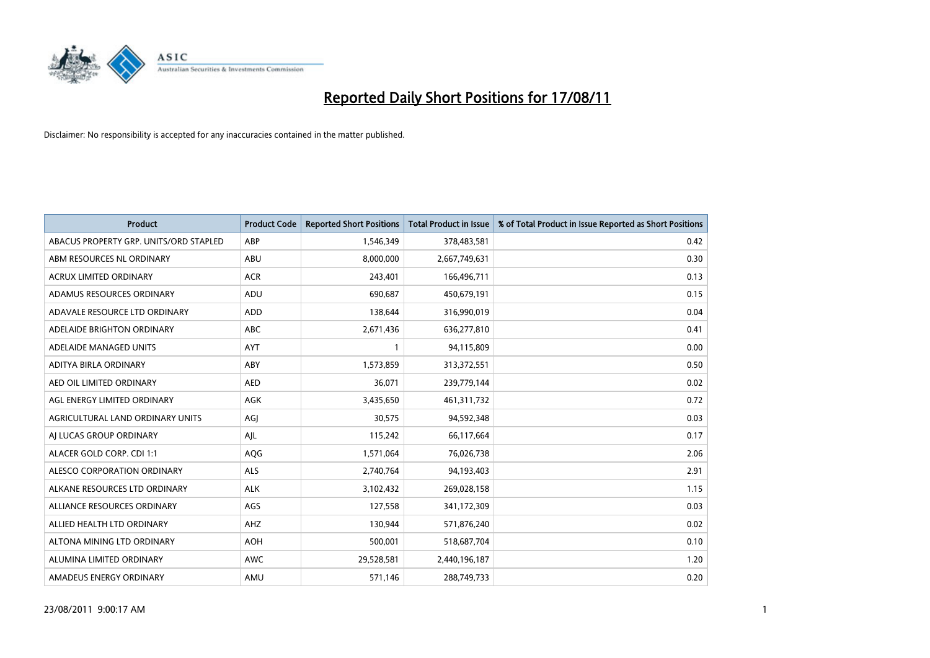

| <b>Product</b>                         | <b>Product Code</b> | <b>Reported Short Positions</b> | <b>Total Product in Issue</b> | % of Total Product in Issue Reported as Short Positions |
|----------------------------------------|---------------------|---------------------------------|-------------------------------|---------------------------------------------------------|
| ABACUS PROPERTY GRP. UNITS/ORD STAPLED | ABP                 | 1,546,349                       | 378,483,581                   | 0.42                                                    |
| ABM RESOURCES NL ORDINARY              | ABU                 | 8,000,000                       | 2,667,749,631                 | 0.30                                                    |
| <b>ACRUX LIMITED ORDINARY</b>          | <b>ACR</b>          | 243,401                         | 166,496,711                   | 0.13                                                    |
| ADAMUS RESOURCES ORDINARY              | ADU                 | 690,687                         | 450,679,191                   | 0.15                                                    |
| ADAVALE RESOURCE LTD ORDINARY          | <b>ADD</b>          | 138,644                         | 316,990,019                   | 0.04                                                    |
| ADELAIDE BRIGHTON ORDINARY             | <b>ABC</b>          | 2,671,436                       | 636,277,810                   | 0.41                                                    |
| ADELAIDE MANAGED UNITS                 | <b>AYT</b>          |                                 | 94,115,809                    | 0.00                                                    |
| ADITYA BIRLA ORDINARY                  | ABY                 | 1,573,859                       | 313,372,551                   | 0.50                                                    |
| AED OIL LIMITED ORDINARY               | <b>AED</b>          | 36,071                          | 239,779,144                   | 0.02                                                    |
| AGL ENERGY LIMITED ORDINARY            | <b>AGK</b>          | 3,435,650                       | 461,311,732                   | 0.72                                                    |
| AGRICULTURAL LAND ORDINARY UNITS       | AGJ                 | 30,575                          | 94,592,348                    | 0.03                                                    |
| AI LUCAS GROUP ORDINARY                | AIL                 | 115,242                         | 66,117,664                    | 0.17                                                    |
| ALACER GOLD CORP. CDI 1:1              | AQG                 | 1,571,064                       | 76,026,738                    | 2.06                                                    |
| ALESCO CORPORATION ORDINARY            | <b>ALS</b>          | 2,740,764                       | 94,193,403                    | 2.91                                                    |
| ALKANE RESOURCES LTD ORDINARY          | <b>ALK</b>          | 3,102,432                       | 269,028,158                   | 1.15                                                    |
| ALLIANCE RESOURCES ORDINARY            | AGS                 | 127,558                         | 341,172,309                   | 0.03                                                    |
| ALLIED HEALTH LTD ORDINARY             | AHZ                 | 130,944                         | 571,876,240                   | 0.02                                                    |
| ALTONA MINING LTD ORDINARY             | <b>AOH</b>          | 500,001                         | 518,687,704                   | 0.10                                                    |
| ALUMINA LIMITED ORDINARY               | <b>AWC</b>          | 29,528,581                      | 2,440,196,187                 | 1.20                                                    |
| AMADEUS ENERGY ORDINARY                | AMU                 | 571,146                         | 288,749,733                   | 0.20                                                    |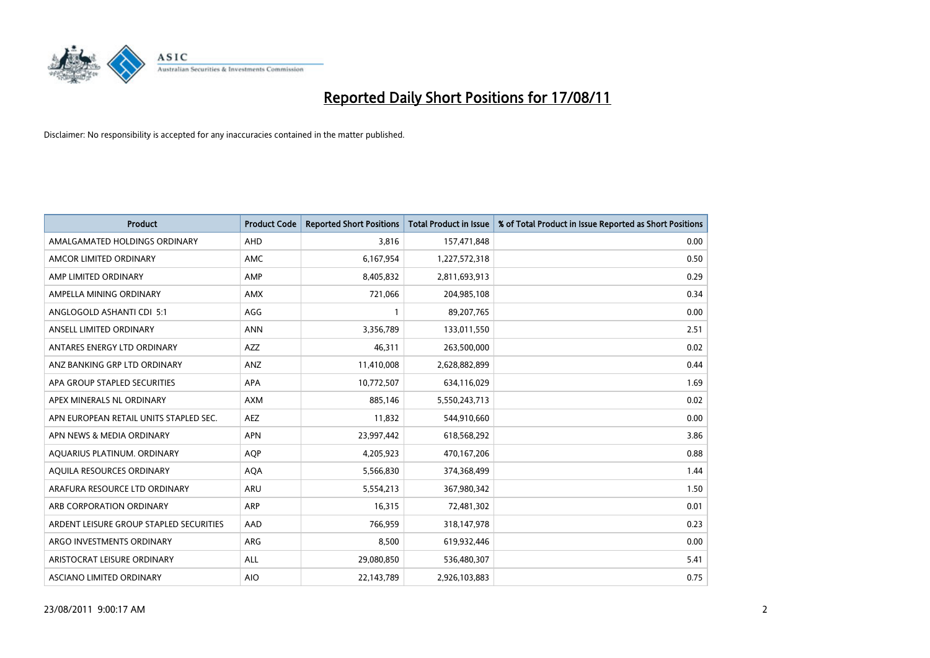

| <b>Product</b>                          | <b>Product Code</b> | <b>Reported Short Positions</b> | <b>Total Product in Issue</b> | % of Total Product in Issue Reported as Short Positions |
|-----------------------------------------|---------------------|---------------------------------|-------------------------------|---------------------------------------------------------|
| AMALGAMATED HOLDINGS ORDINARY           | AHD                 | 3,816                           | 157,471,848                   | 0.00                                                    |
| AMCOR LIMITED ORDINARY                  | <b>AMC</b>          | 6,167,954                       | 1,227,572,318                 | 0.50                                                    |
| AMP LIMITED ORDINARY                    | AMP                 | 8,405,832                       | 2,811,693,913                 | 0.29                                                    |
| AMPELLA MINING ORDINARY                 | <b>AMX</b>          | 721,066                         | 204,985,108                   | 0.34                                                    |
| ANGLOGOLD ASHANTI CDI 5:1               | AGG                 |                                 | 89,207,765                    | 0.00                                                    |
| ANSELL LIMITED ORDINARY                 | <b>ANN</b>          | 3,356,789                       | 133,011,550                   | 2.51                                                    |
| ANTARES ENERGY LTD ORDINARY             | <b>AZZ</b>          | 46,311                          | 263,500,000                   | 0.02                                                    |
| ANZ BANKING GRP LTD ORDINARY            | ANZ                 | 11,410,008                      | 2,628,882,899                 | 0.44                                                    |
| APA GROUP STAPLED SECURITIES            | APA                 | 10,772,507                      | 634,116,029                   | 1.69                                                    |
| APEX MINERALS NL ORDINARY               | <b>AXM</b>          | 885.146                         | 5,550,243,713                 | 0.02                                                    |
| APN EUROPEAN RETAIL UNITS STAPLED SEC.  | <b>AEZ</b>          | 11,832                          | 544,910,660                   | 0.00                                                    |
| APN NEWS & MEDIA ORDINARY               | <b>APN</b>          | 23,997,442                      | 618,568,292                   | 3.86                                                    |
| AQUARIUS PLATINUM. ORDINARY             | <b>AOP</b>          | 4,205,923                       | 470,167,206                   | 0.88                                                    |
| AQUILA RESOURCES ORDINARY               | <b>AQA</b>          | 5,566,830                       | 374,368,499                   | 1.44                                                    |
| ARAFURA RESOURCE LTD ORDINARY           | ARU                 | 5,554,213                       | 367,980,342                   | 1.50                                                    |
| ARB CORPORATION ORDINARY                | <b>ARP</b>          | 16,315                          | 72,481,302                    | 0.01                                                    |
| ARDENT LEISURE GROUP STAPLED SECURITIES | AAD                 | 766,959                         | 318,147,978                   | 0.23                                                    |
| ARGO INVESTMENTS ORDINARY               | ARG                 | 8,500                           | 619,932,446                   | 0.00                                                    |
| ARISTOCRAT LEISURE ORDINARY             | ALL                 | 29,080,850                      | 536,480,307                   | 5.41                                                    |
| ASCIANO LIMITED ORDINARY                | <b>AIO</b>          | 22,143,789                      | 2,926,103,883                 | 0.75                                                    |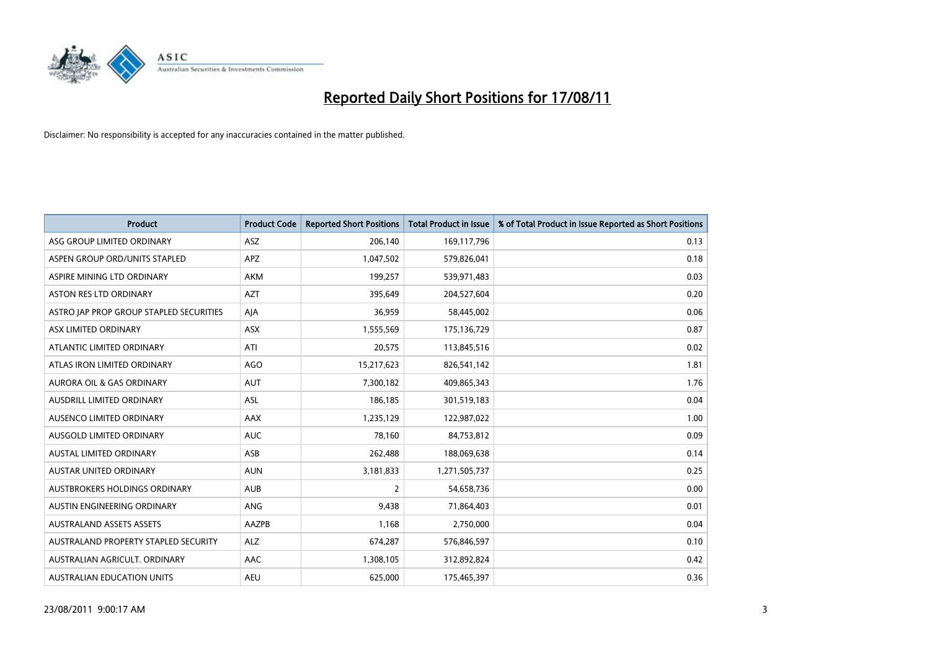

| <b>Product</b>                          | <b>Product Code</b> | <b>Reported Short Positions</b> | Total Product in Issue | % of Total Product in Issue Reported as Short Positions |
|-----------------------------------------|---------------------|---------------------------------|------------------------|---------------------------------------------------------|
| ASG GROUP LIMITED ORDINARY              | <b>ASZ</b>          | 206,140                         | 169,117,796            | 0.13                                                    |
| ASPEN GROUP ORD/UNITS STAPLED           | <b>APZ</b>          | 1,047,502                       | 579,826,041            | 0.18                                                    |
| ASPIRE MINING LTD ORDINARY              | <b>AKM</b>          | 199,257                         | 539,971,483            | 0.03                                                    |
| ASTON RES LTD ORDINARY                  | <b>AZT</b>          | 395,649                         | 204,527,604            | 0.20                                                    |
| ASTRO JAP PROP GROUP STAPLED SECURITIES | AJA                 | 36,959                          | 58,445,002             | 0.06                                                    |
| ASX LIMITED ORDINARY                    | <b>ASX</b>          | 1,555,569                       | 175,136,729            | 0.87                                                    |
| ATLANTIC LIMITED ORDINARY               | ATI                 | 20,575                          | 113,845,516            | 0.02                                                    |
| ATLAS IRON LIMITED ORDINARY             | <b>AGO</b>          | 15,217,623                      | 826,541,142            | 1.81                                                    |
| AURORA OIL & GAS ORDINARY               | <b>AUT</b>          | 7,300,182                       | 409,865,343            | 1.76                                                    |
| AUSDRILL LIMITED ORDINARY               | <b>ASL</b>          | 186,185                         | 301,519,183            | 0.04                                                    |
| AUSENCO LIMITED ORDINARY                | <b>AAX</b>          | 1,235,129                       | 122,987,022            | 1.00                                                    |
| AUSGOLD LIMITED ORDINARY                | <b>AUC</b>          | 78,160                          | 84,753,812             | 0.09                                                    |
| <b>AUSTAL LIMITED ORDINARY</b>          | ASB                 | 262,488                         | 188,069,638            | 0.14                                                    |
| <b>AUSTAR UNITED ORDINARY</b>           | <b>AUN</b>          | 3,181,833                       | 1,271,505,737          | 0.25                                                    |
| AUSTBROKERS HOLDINGS ORDINARY           | <b>AUB</b>          | $\overline{2}$                  | 54,658,736             | 0.00                                                    |
| AUSTIN ENGINEERING ORDINARY             | ANG                 | 9,438                           | 71,864,403             | 0.01                                                    |
| <b>AUSTRALAND ASSETS ASSETS</b>         | AAZPB               | 1,168                           | 2,750,000              | 0.04                                                    |
| AUSTRALAND PROPERTY STAPLED SECURITY    | <b>ALZ</b>          | 674,287                         | 576,846,597            | 0.10                                                    |
| AUSTRALIAN AGRICULT, ORDINARY           | AAC                 | 1,308,105                       | 312,892,824            | 0.42                                                    |
| AUSTRALIAN EDUCATION UNITS              | <b>AEU</b>          | 625.000                         | 175,465,397            | 0.36                                                    |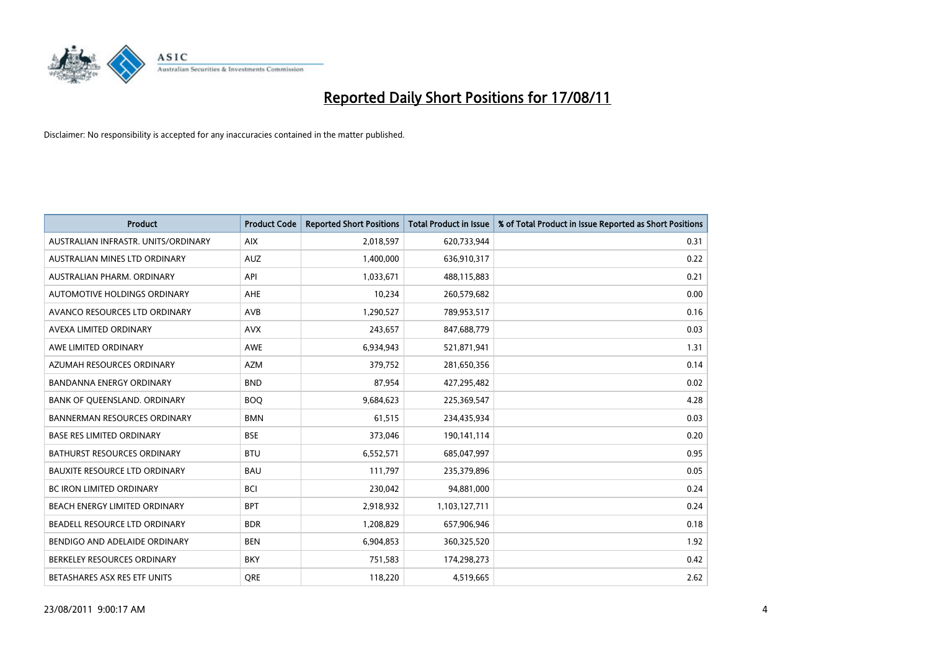

| <b>Product</b>                       | <b>Product Code</b> | <b>Reported Short Positions</b> | <b>Total Product in Issue</b> | % of Total Product in Issue Reported as Short Positions |
|--------------------------------------|---------------------|---------------------------------|-------------------------------|---------------------------------------------------------|
| AUSTRALIAN INFRASTR, UNITS/ORDINARY  | <b>AIX</b>          | 2,018,597                       | 620,733,944                   | 0.31                                                    |
| AUSTRALIAN MINES LTD ORDINARY        | <b>AUZ</b>          | 1,400,000                       | 636,910,317                   | 0.22                                                    |
| AUSTRALIAN PHARM, ORDINARY           | API                 | 1,033,671                       | 488,115,883                   | 0.21                                                    |
| AUTOMOTIVE HOLDINGS ORDINARY         | AHE                 | 10,234                          | 260,579,682                   | 0.00                                                    |
| AVANCO RESOURCES LTD ORDINARY        | <b>AVB</b>          | 1,290,527                       | 789,953,517                   | 0.16                                                    |
| AVEXA LIMITED ORDINARY               | <b>AVX</b>          | 243,657                         | 847,688,779                   | 0.03                                                    |
| AWE LIMITED ORDINARY                 | AWE                 | 6,934,943                       | 521,871,941                   | 1.31                                                    |
| AZUMAH RESOURCES ORDINARY            | <b>AZM</b>          | 379,752                         | 281,650,356                   | 0.14                                                    |
| BANDANNA ENERGY ORDINARY             | <b>BND</b>          | 87,954                          | 427,295,482                   | 0.02                                                    |
| BANK OF QUEENSLAND. ORDINARY         | <b>BOO</b>          | 9,684,623                       | 225,369,547                   | 4.28                                                    |
| <b>BANNERMAN RESOURCES ORDINARY</b>  | <b>BMN</b>          | 61,515                          | 234,435,934                   | 0.03                                                    |
| <b>BASE RES LIMITED ORDINARY</b>     | <b>BSE</b>          | 373,046                         | 190,141,114                   | 0.20                                                    |
| <b>BATHURST RESOURCES ORDINARY</b>   | <b>BTU</b>          | 6,552,571                       | 685,047,997                   | 0.95                                                    |
| <b>BAUXITE RESOURCE LTD ORDINARY</b> | <b>BAU</b>          | 111,797                         | 235,379,896                   | 0.05                                                    |
| <b>BC IRON LIMITED ORDINARY</b>      | <b>BCI</b>          | 230,042                         | 94,881,000                    | 0.24                                                    |
| BEACH ENERGY LIMITED ORDINARY        | <b>BPT</b>          | 2,918,932                       | 1,103,127,711                 | 0.24                                                    |
| BEADELL RESOURCE LTD ORDINARY        | <b>BDR</b>          | 1,208,829                       | 657,906,946                   | 0.18                                                    |
| BENDIGO AND ADELAIDE ORDINARY        | <b>BEN</b>          | 6,904,853                       | 360,325,520                   | 1.92                                                    |
| BERKELEY RESOURCES ORDINARY          | <b>BKY</b>          | 751,583                         | 174,298,273                   | 0.42                                                    |
| BETASHARES ASX RES ETF UNITS         | <b>ORE</b>          | 118,220                         | 4,519,665                     | 2.62                                                    |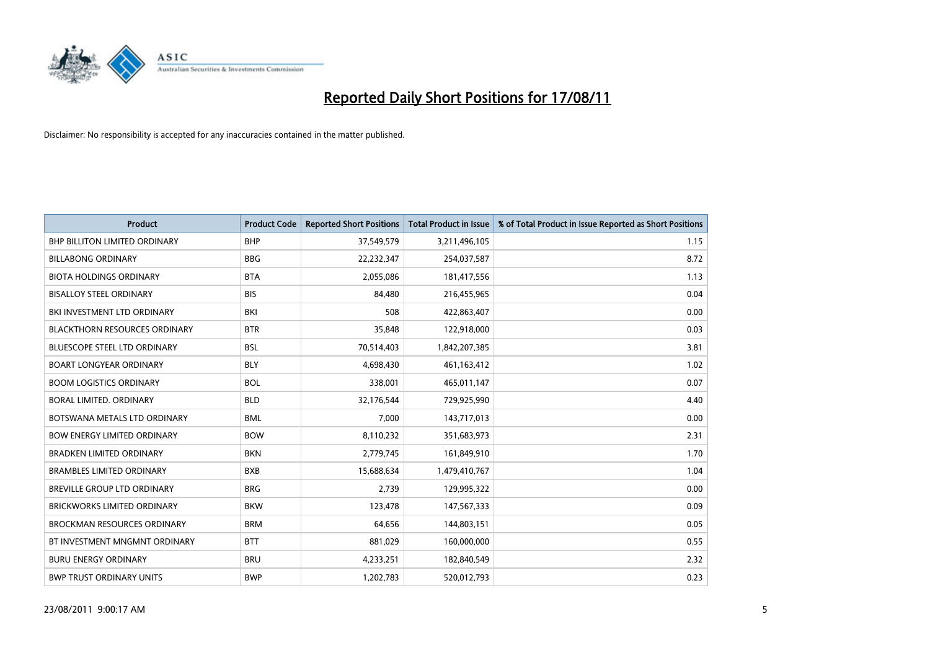

| <b>Product</b>                       | <b>Product Code</b> | <b>Reported Short Positions</b> | <b>Total Product in Issue</b> | % of Total Product in Issue Reported as Short Positions |
|--------------------------------------|---------------------|---------------------------------|-------------------------------|---------------------------------------------------------|
| <b>BHP BILLITON LIMITED ORDINARY</b> | <b>BHP</b>          | 37,549,579                      | 3,211,496,105                 | 1.15                                                    |
| <b>BILLABONG ORDINARY</b>            | <b>BBG</b>          | 22,232,347                      | 254,037,587                   | 8.72                                                    |
| <b>BIOTA HOLDINGS ORDINARY</b>       | <b>BTA</b>          | 2,055,086                       | 181,417,556                   | 1.13                                                    |
| <b>BISALLOY STEEL ORDINARY</b>       | <b>BIS</b>          | 84,480                          | 216,455,965                   | 0.04                                                    |
| BKI INVESTMENT LTD ORDINARY          | BKI                 | 508                             | 422,863,407                   | 0.00                                                    |
| <b>BLACKTHORN RESOURCES ORDINARY</b> | <b>BTR</b>          | 35,848                          | 122,918,000                   | 0.03                                                    |
| <b>BLUESCOPE STEEL LTD ORDINARY</b>  | <b>BSL</b>          | 70,514,403                      | 1,842,207,385                 | 3.81                                                    |
| <b>BOART LONGYEAR ORDINARY</b>       | <b>BLY</b>          | 4,698,430                       | 461,163,412                   | 1.02                                                    |
| <b>BOOM LOGISTICS ORDINARY</b>       | <b>BOL</b>          | 338,001                         | 465,011,147                   | 0.07                                                    |
| BORAL LIMITED, ORDINARY              | <b>BLD</b>          | 32,176,544                      | 729,925,990                   | 4.40                                                    |
| BOTSWANA METALS LTD ORDINARY         | <b>BML</b>          | 7,000                           | 143,717,013                   | 0.00                                                    |
| <b>BOW ENERGY LIMITED ORDINARY</b>   | <b>BOW</b>          | 8,110,232                       | 351,683,973                   | 2.31                                                    |
| <b>BRADKEN LIMITED ORDINARY</b>      | <b>BKN</b>          | 2,779,745                       | 161,849,910                   | 1.70                                                    |
| <b>BRAMBLES LIMITED ORDINARY</b>     | <b>BXB</b>          | 15,688,634                      | 1,479,410,767                 | 1.04                                                    |
| <b>BREVILLE GROUP LTD ORDINARY</b>   | <b>BRG</b>          | 2,739                           | 129,995,322                   | 0.00                                                    |
| BRICKWORKS LIMITED ORDINARY          | <b>BKW</b>          | 123,478                         | 147,567,333                   | 0.09                                                    |
| <b>BROCKMAN RESOURCES ORDINARY</b>   | <b>BRM</b>          | 64,656                          | 144,803,151                   | 0.05                                                    |
| BT INVESTMENT MNGMNT ORDINARY        | <b>BTT</b>          | 881,029                         | 160,000,000                   | 0.55                                                    |
| <b>BURU ENERGY ORDINARY</b>          | <b>BRU</b>          | 4,233,251                       | 182,840,549                   | 2.32                                                    |
| <b>BWP TRUST ORDINARY UNITS</b>      | <b>BWP</b>          | 1,202,783                       | 520,012,793                   | 0.23                                                    |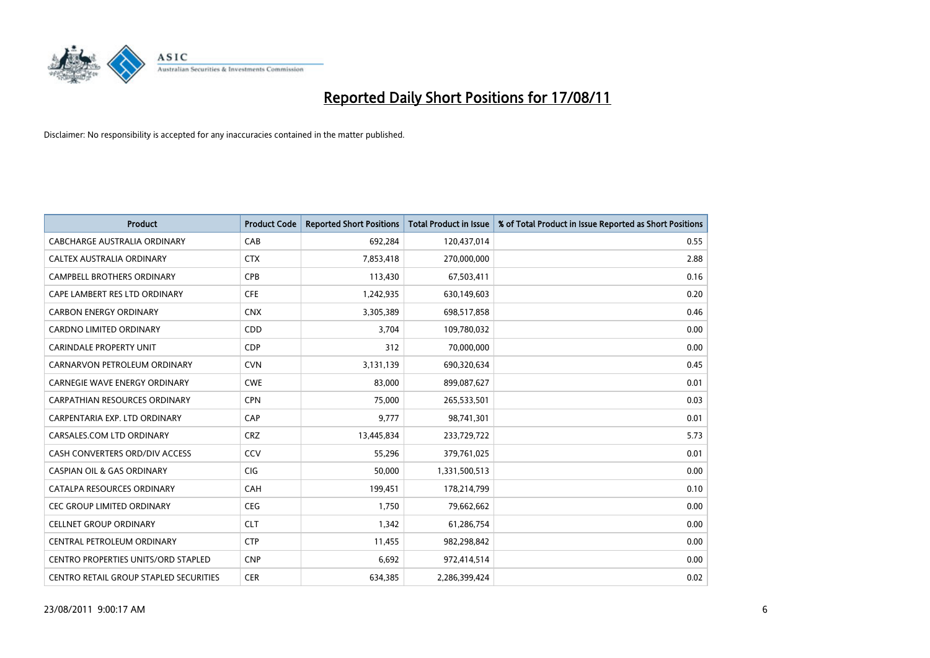

| <b>Product</b>                                | <b>Product Code</b> | <b>Reported Short Positions</b> | <b>Total Product in Issue</b> | % of Total Product in Issue Reported as Short Positions |
|-----------------------------------------------|---------------------|---------------------------------|-------------------------------|---------------------------------------------------------|
| <b>CABCHARGE AUSTRALIA ORDINARY</b>           | CAB                 | 692,284                         | 120,437,014                   | 0.55                                                    |
| CALTEX AUSTRALIA ORDINARY                     | <b>CTX</b>          | 7,853,418                       | 270,000,000                   | 2.88                                                    |
| <b>CAMPBELL BROTHERS ORDINARY</b>             | <b>CPB</b>          | 113,430                         | 67,503,411                    | 0.16                                                    |
| CAPE LAMBERT RES LTD ORDINARY                 | <b>CFE</b>          | 1,242,935                       | 630,149,603                   | 0.20                                                    |
| <b>CARBON ENERGY ORDINARY</b>                 | <b>CNX</b>          | 3,305,389                       | 698,517,858                   | 0.46                                                    |
| <b>CARDNO LIMITED ORDINARY</b>                | CDD                 | 3,704                           | 109,780,032                   | 0.00                                                    |
| <b>CARINDALE PROPERTY UNIT</b>                | <b>CDP</b>          | 312                             | 70,000,000                    | 0.00                                                    |
| CARNARVON PETROLEUM ORDINARY                  | <b>CVN</b>          | 3,131,139                       | 690,320,634                   | 0.45                                                    |
| <b>CARNEGIE WAVE ENERGY ORDINARY</b>          | <b>CWE</b>          | 83,000                          | 899,087,627                   | 0.01                                                    |
| <b>CARPATHIAN RESOURCES ORDINARY</b>          | <b>CPN</b>          | 75.000                          | 265,533,501                   | 0.03                                                    |
| CARPENTARIA EXP. LTD ORDINARY                 | CAP                 | 9,777                           | 98,741,301                    | 0.01                                                    |
| CARSALES.COM LTD ORDINARY                     | <b>CRZ</b>          | 13,445,834                      | 233,729,722                   | 5.73                                                    |
| CASH CONVERTERS ORD/DIV ACCESS                | CCV                 | 55,296                          | 379,761,025                   | 0.01                                                    |
| <b>CASPIAN OIL &amp; GAS ORDINARY</b>         | <b>CIG</b>          | 50,000                          | 1,331,500,513                 | 0.00                                                    |
| CATALPA RESOURCES ORDINARY                    | CAH                 | 199,451                         | 178,214,799                   | 0.10                                                    |
| <b>CEC GROUP LIMITED ORDINARY</b>             | <b>CEG</b>          | 1,750                           | 79,662,662                    | 0.00                                                    |
| <b>CELLNET GROUP ORDINARY</b>                 | <b>CLT</b>          | 1,342                           | 61,286,754                    | 0.00                                                    |
| CENTRAL PETROLEUM ORDINARY                    | <b>CTP</b>          | 11,455                          | 982,298,842                   | 0.00                                                    |
| <b>CENTRO PROPERTIES UNITS/ORD STAPLED</b>    | <b>CNP</b>          | 6,692                           | 972,414,514                   | 0.00                                                    |
| <b>CENTRO RETAIL GROUP STAPLED SECURITIES</b> | <b>CER</b>          | 634.385                         | 2,286,399,424                 | 0.02                                                    |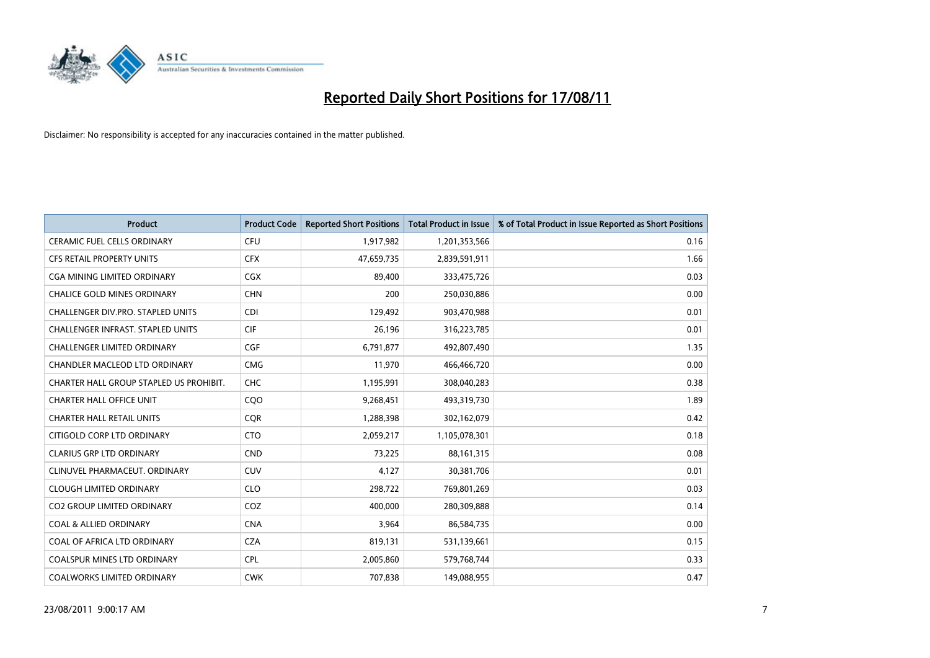

| <b>Product</b>                           | <b>Product Code</b> | <b>Reported Short Positions</b> | <b>Total Product in Issue</b> | % of Total Product in Issue Reported as Short Positions |
|------------------------------------------|---------------------|---------------------------------|-------------------------------|---------------------------------------------------------|
| <b>CERAMIC FUEL CELLS ORDINARY</b>       | <b>CFU</b>          | 1,917,982                       | 1,201,353,566                 | 0.16                                                    |
| CFS RETAIL PROPERTY UNITS                | <b>CFX</b>          | 47,659,735                      | 2,839,591,911                 | 1.66                                                    |
| <b>CGA MINING LIMITED ORDINARY</b>       | <b>CGX</b>          | 89,400                          | 333,475,726                   | 0.03                                                    |
| CHALICE GOLD MINES ORDINARY              | <b>CHN</b>          | 200                             | 250,030,886                   | 0.00                                                    |
| CHALLENGER DIV.PRO. STAPLED UNITS        | <b>CDI</b>          | 129,492                         | 903,470,988                   | 0.01                                                    |
| <b>CHALLENGER INFRAST, STAPLED UNITS</b> | <b>CIF</b>          | 26,196                          | 316,223,785                   | 0.01                                                    |
| <b>CHALLENGER LIMITED ORDINARY</b>       | <b>CGF</b>          | 6,791,877                       | 492,807,490                   | 1.35                                                    |
| CHANDLER MACLEOD LTD ORDINARY            | <b>CMG</b>          | 11,970                          | 466,466,720                   | 0.00                                                    |
| CHARTER HALL GROUP STAPLED US PROHIBIT.  | <b>CHC</b>          | 1,195,991                       | 308,040,283                   | 0.38                                                    |
| <b>CHARTER HALL OFFICE UNIT</b>          | COO                 | 9,268,451                       | 493,319,730                   | 1.89                                                    |
| <b>CHARTER HALL RETAIL UNITS</b>         | <b>COR</b>          | 1,288,398                       | 302,162,079                   | 0.42                                                    |
| CITIGOLD CORP LTD ORDINARY               | <b>CTO</b>          | 2,059,217                       | 1,105,078,301                 | 0.18                                                    |
| <b>CLARIUS GRP LTD ORDINARY</b>          | <b>CND</b>          | 73,225                          | 88,161,315                    | 0.08                                                    |
| CLINUVEL PHARMACEUT, ORDINARY            | <b>CUV</b>          | 4,127                           | 30,381,706                    | 0.01                                                    |
| <b>CLOUGH LIMITED ORDINARY</b>           | <b>CLO</b>          | 298,722                         | 769,801,269                   | 0.03                                                    |
| <b>CO2 GROUP LIMITED ORDINARY</b>        | COZ                 | 400.000                         | 280,309,888                   | 0.14                                                    |
| <b>COAL &amp; ALLIED ORDINARY</b>        | <b>CNA</b>          | 3,964                           | 86,584,735                    | 0.00                                                    |
| COAL OF AFRICA LTD ORDINARY              | <b>CZA</b>          | 819,131                         | 531,139,661                   | 0.15                                                    |
| <b>COALSPUR MINES LTD ORDINARY</b>       | <b>CPL</b>          | 2,005,860                       | 579,768,744                   | 0.33                                                    |
| COALWORKS LIMITED ORDINARY               | <b>CWK</b>          | 707,838                         | 149,088,955                   | 0.47                                                    |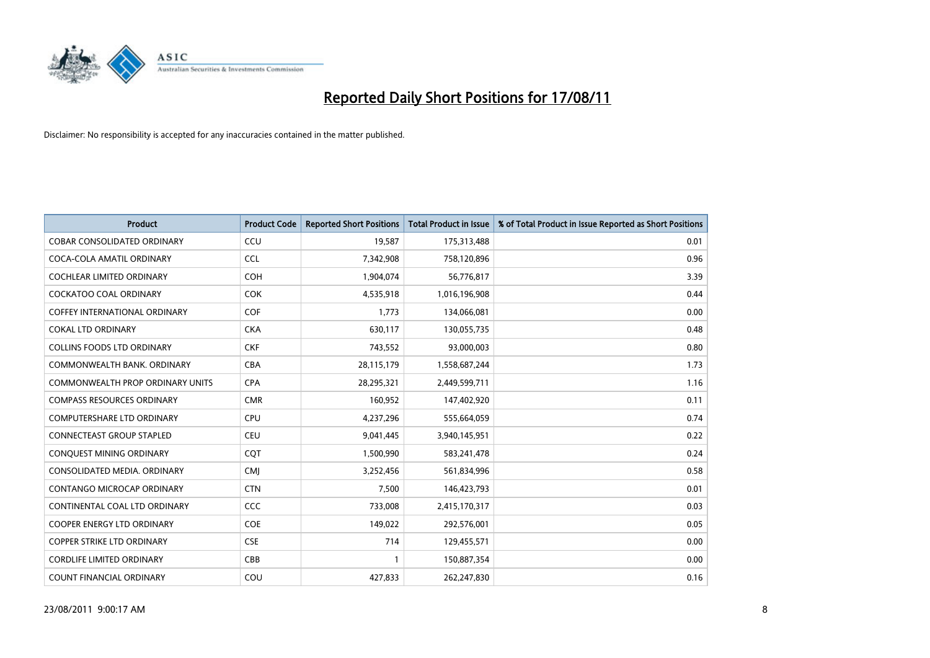

| <b>Product</b>                          | <b>Product Code</b> | <b>Reported Short Positions</b> | <b>Total Product in Issue</b> | % of Total Product in Issue Reported as Short Positions |
|-----------------------------------------|---------------------|---------------------------------|-------------------------------|---------------------------------------------------------|
| <b>COBAR CONSOLIDATED ORDINARY</b>      | CCU                 | 19,587                          | 175,313,488                   | 0.01                                                    |
| COCA-COLA AMATIL ORDINARY               | <b>CCL</b>          | 7,342,908                       | 758,120,896                   | 0.96                                                    |
| <b>COCHLEAR LIMITED ORDINARY</b>        | <b>COH</b>          | 1,904,074                       | 56,776,817                    | 3.39                                                    |
| COCKATOO COAL ORDINARY                  | <b>COK</b>          | 4,535,918                       | 1,016,196,908                 | 0.44                                                    |
| <b>COFFEY INTERNATIONAL ORDINARY</b>    | <b>COF</b>          | 1,773                           | 134,066,081                   | 0.00                                                    |
| <b>COKAL LTD ORDINARY</b>               | <b>CKA</b>          | 630,117                         | 130,055,735                   | 0.48                                                    |
| <b>COLLINS FOODS LTD ORDINARY</b>       | <b>CKF</b>          | 743,552                         | 93,000,003                    | 0.80                                                    |
| COMMONWEALTH BANK, ORDINARY             | <b>CBA</b>          | 28,115,179                      | 1,558,687,244                 | 1.73                                                    |
| <b>COMMONWEALTH PROP ORDINARY UNITS</b> | <b>CPA</b>          | 28,295,321                      | 2,449,599,711                 | 1.16                                                    |
| <b>COMPASS RESOURCES ORDINARY</b>       | <b>CMR</b>          | 160,952                         | 147,402,920                   | 0.11                                                    |
| COMPUTERSHARE LTD ORDINARY              | <b>CPU</b>          | 4,237,296                       | 555,664,059                   | 0.74                                                    |
| <b>CONNECTEAST GROUP STAPLED</b>        | <b>CEU</b>          | 9,041,445                       | 3,940,145,951                 | 0.22                                                    |
| CONQUEST MINING ORDINARY                | COT                 | 1,500,990                       | 583,241,478                   | 0.24                                                    |
| CONSOLIDATED MEDIA, ORDINARY            | <b>CMI</b>          | 3,252,456                       | 561,834,996                   | 0.58                                                    |
| CONTANGO MICROCAP ORDINARY              | <b>CTN</b>          | 7,500                           | 146,423,793                   | 0.01                                                    |
| CONTINENTAL COAL LTD ORDINARY           | CCC                 | 733,008                         | 2,415,170,317                 | 0.03                                                    |
| COOPER ENERGY LTD ORDINARY              | <b>COE</b>          | 149,022                         | 292,576,001                   | 0.05                                                    |
| COPPER STRIKE LTD ORDINARY              | <b>CSE</b>          | 714                             | 129,455,571                   | 0.00                                                    |
| <b>CORDLIFE LIMITED ORDINARY</b>        | CBB                 |                                 | 150,887,354                   | 0.00                                                    |
| COUNT FINANCIAL ORDINARY                | COU                 | 427,833                         | 262,247,830                   | 0.16                                                    |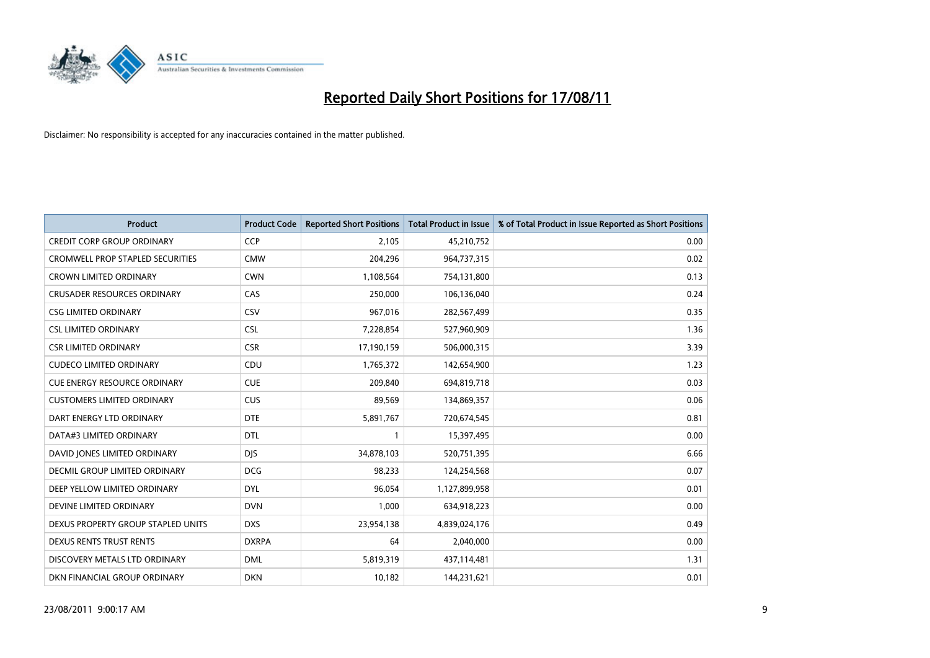

| <b>Product</b>                          | <b>Product Code</b> | <b>Reported Short Positions</b> | <b>Total Product in Issue</b> | % of Total Product in Issue Reported as Short Positions |
|-----------------------------------------|---------------------|---------------------------------|-------------------------------|---------------------------------------------------------|
| <b>CREDIT CORP GROUP ORDINARY</b>       | <b>CCP</b>          | 2,105                           | 45,210,752                    | 0.00                                                    |
| <b>CROMWELL PROP STAPLED SECURITIES</b> | <b>CMW</b>          | 204,296                         | 964,737,315                   | 0.02                                                    |
| <b>CROWN LIMITED ORDINARY</b>           | <b>CWN</b>          | 1,108,564                       | 754,131,800                   | 0.13                                                    |
| CRUSADER RESOURCES ORDINARY             | CAS                 | 250,000                         | 106,136,040                   | 0.24                                                    |
| <b>CSG LIMITED ORDINARY</b>             | CSV                 | 967,016                         | 282,567,499                   | 0.35                                                    |
| <b>CSL LIMITED ORDINARY</b>             | <b>CSL</b>          | 7,228,854                       | 527,960,909                   | 1.36                                                    |
| <b>CSR LIMITED ORDINARY</b>             | <b>CSR</b>          | 17,190,159                      | 506,000,315                   | 3.39                                                    |
| <b>CUDECO LIMITED ORDINARY</b>          | CDU                 | 1,765,372                       | 142,654,900                   | 1.23                                                    |
| <b>CUE ENERGY RESOURCE ORDINARY</b>     | <b>CUE</b>          | 209.840                         | 694,819,718                   | 0.03                                                    |
| <b>CUSTOMERS LIMITED ORDINARY</b>       | <b>CUS</b>          | 89,569                          | 134,869,357                   | 0.06                                                    |
| DART ENERGY LTD ORDINARY                | <b>DTE</b>          | 5,891,767                       | 720,674,545                   | 0.81                                                    |
| DATA#3 LIMITED ORDINARY                 | <b>DTL</b>          |                                 | 15,397,495                    | 0.00                                                    |
| DAVID JONES LIMITED ORDINARY            | <b>DJS</b>          | 34,878,103                      | 520,751,395                   | 6.66                                                    |
| DECMIL GROUP LIMITED ORDINARY           | <b>DCG</b>          | 98,233                          | 124,254,568                   | 0.07                                                    |
| DEEP YELLOW LIMITED ORDINARY            | <b>DYL</b>          | 96,054                          | 1,127,899,958                 | 0.01                                                    |
| DEVINE LIMITED ORDINARY                 | <b>DVN</b>          | 1,000                           | 634,918,223                   | 0.00                                                    |
| DEXUS PROPERTY GROUP STAPLED UNITS      | <b>DXS</b>          | 23,954,138                      | 4,839,024,176                 | 0.49                                                    |
| DEXUS RENTS TRUST RENTS                 | <b>DXRPA</b>        | 64                              | 2,040,000                     | 0.00                                                    |
| DISCOVERY METALS LTD ORDINARY           | <b>DML</b>          | 5,819,319                       | 437,114,481                   | 1.31                                                    |
| DKN FINANCIAL GROUP ORDINARY            | <b>DKN</b>          | 10,182                          | 144,231,621                   | 0.01                                                    |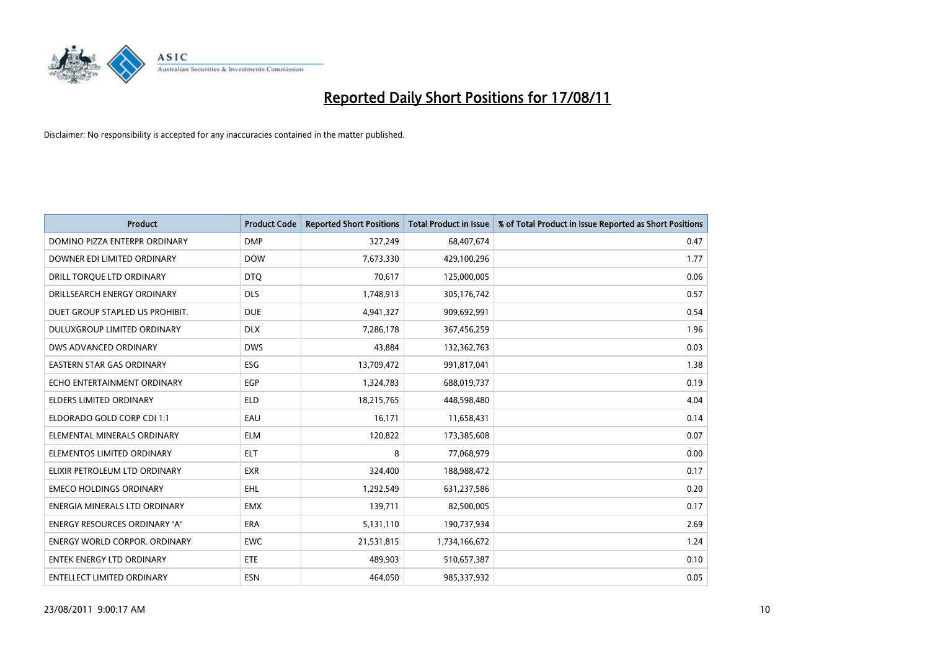

| <b>Product</b>                   | <b>Product Code</b> | <b>Reported Short Positions</b> | Total Product in Issue | % of Total Product in Issue Reported as Short Positions |
|----------------------------------|---------------------|---------------------------------|------------------------|---------------------------------------------------------|
| DOMINO PIZZA ENTERPR ORDINARY    | <b>DMP</b>          | 327,249                         | 68,407,674             | 0.47                                                    |
| DOWNER EDI LIMITED ORDINARY      | <b>DOW</b>          | 7,673,330                       | 429,100,296            | 1.77                                                    |
| DRILL TORQUE LTD ORDINARY        | <b>DTQ</b>          | 70.617                          | 125,000,005            | 0.06                                                    |
| DRILLSEARCH ENERGY ORDINARY      | <b>DLS</b>          | 1,748,913                       | 305,176,742            | 0.57                                                    |
| DUET GROUP STAPLED US PROHIBIT.  | <b>DUE</b>          | 4,941,327                       | 909,692,991            | 0.54                                                    |
| DULUXGROUP LIMITED ORDINARY      | <b>DLX</b>          | 7,286,178                       | 367,456,259            | 1.96                                                    |
| DWS ADVANCED ORDINARY            | <b>DWS</b>          | 43,884                          | 132,362,763            | 0.03                                                    |
| <b>EASTERN STAR GAS ORDINARY</b> | ESG                 | 13,709,472                      | 991,817,041            | 1.38                                                    |
| ECHO ENTERTAINMENT ORDINARY      | <b>EGP</b>          | 1,324,783                       | 688,019,737            | 0.19                                                    |
| <b>ELDERS LIMITED ORDINARY</b>   | <b>ELD</b>          | 18,215,765                      | 448,598,480            | 4.04                                                    |
| ELDORADO GOLD CORP CDI 1:1       | EAU                 | 16,171                          | 11,658,431             | 0.14                                                    |
| ELEMENTAL MINERALS ORDINARY      | <b>ELM</b>          | 120,822                         | 173,385,608            | 0.07                                                    |
| ELEMENTOS LIMITED ORDINARY       | <b>ELT</b>          | 8                               | 77,068,979             | 0.00                                                    |
| ELIXIR PETROLEUM LTD ORDINARY    | <b>EXR</b>          | 324,400                         | 188,988,472            | 0.17                                                    |
| <b>EMECO HOLDINGS ORDINARY</b>   | <b>EHL</b>          | 1,292,549                       | 631,237,586            | 0.20                                                    |
| ENERGIA MINERALS LTD ORDINARY    | <b>EMX</b>          | 139,711                         | 82,500,005             | 0.17                                                    |
| ENERGY RESOURCES ORDINARY 'A'    | ERA                 | 5,131,110                       | 190,737,934            | 2.69                                                    |
| ENERGY WORLD CORPOR. ORDINARY    | <b>EWC</b>          | 21,531,815                      | 1,734,166,672          | 1.24                                                    |
| <b>ENTEK ENERGY LTD ORDINARY</b> | <b>ETE</b>          | 489,903                         | 510,657,387            | 0.10                                                    |
| ENTELLECT LIMITED ORDINARY       | ESN                 | 464,050                         | 985,337,932            | 0.05                                                    |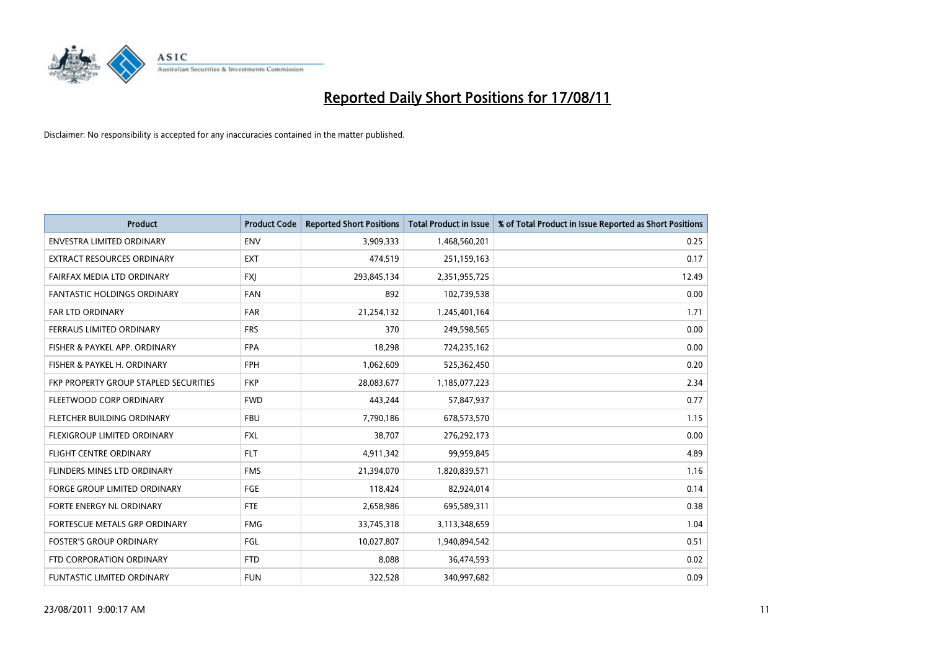

| <b>Product</b>                        | <b>Product Code</b> | <b>Reported Short Positions</b> | <b>Total Product in Issue</b> | % of Total Product in Issue Reported as Short Positions |
|---------------------------------------|---------------------|---------------------------------|-------------------------------|---------------------------------------------------------|
| <b>ENVESTRA LIMITED ORDINARY</b>      | <b>ENV</b>          | 3,909,333                       | 1,468,560,201                 | 0.25                                                    |
| EXTRACT RESOURCES ORDINARY            | <b>EXT</b>          | 474,519                         | 251,159,163                   | 0.17                                                    |
| FAIRFAX MEDIA LTD ORDINARY            | <b>FXJ</b>          | 293,845,134                     | 2,351,955,725                 | 12.49                                                   |
| <b>FANTASTIC HOLDINGS ORDINARY</b>    | <b>FAN</b>          | 892                             | 102,739,538                   | 0.00                                                    |
| <b>FAR LTD ORDINARY</b>               | <b>FAR</b>          | 21,254,132                      | 1,245,401,164                 | 1.71                                                    |
| FERRAUS LIMITED ORDINARY              | <b>FRS</b>          | 370                             | 249,598,565                   | 0.00                                                    |
| FISHER & PAYKEL APP. ORDINARY         | <b>FPA</b>          | 18,298                          | 724,235,162                   | 0.00                                                    |
| FISHER & PAYKEL H. ORDINARY           | <b>FPH</b>          | 1,062,609                       | 525,362,450                   | 0.20                                                    |
| FKP PROPERTY GROUP STAPLED SECURITIES | <b>FKP</b>          | 28,083,677                      | 1,185,077,223                 | 2.34                                                    |
| FLEETWOOD CORP ORDINARY               | <b>FWD</b>          | 443,244                         | 57,847,937                    | 0.77                                                    |
| <b>FLETCHER BUILDING ORDINARY</b>     | <b>FBU</b>          | 7,790,186                       | 678,573,570                   | 1.15                                                    |
| FLEXIGROUP LIMITED ORDINARY           | <b>FXL</b>          | 38,707                          | 276,292,173                   | 0.00                                                    |
| <b>FLIGHT CENTRE ORDINARY</b>         | <b>FLT</b>          | 4,911,342                       | 99,959,845                    | 4.89                                                    |
| FLINDERS MINES LTD ORDINARY           | <b>FMS</b>          | 21,394,070                      | 1,820,839,571                 | 1.16                                                    |
| <b>FORGE GROUP LIMITED ORDINARY</b>   | <b>FGE</b>          | 118,424                         | 82,924,014                    | 0.14                                                    |
| FORTE ENERGY NL ORDINARY              | <b>FTE</b>          | 2,658,986                       | 695,589,311                   | 0.38                                                    |
| FORTESCUE METALS GRP ORDINARY         | <b>FMG</b>          | 33,745,318                      | 3,113,348,659                 | 1.04                                                    |
| <b>FOSTER'S GROUP ORDINARY</b>        | FGL                 | 10,027,807                      | 1,940,894,542                 | 0.51                                                    |
| FTD CORPORATION ORDINARY              | <b>FTD</b>          | 8,088                           | 36,474,593                    | 0.02                                                    |
| FUNTASTIC LIMITED ORDINARY            | <b>FUN</b>          | 322,528                         | 340,997,682                   | 0.09                                                    |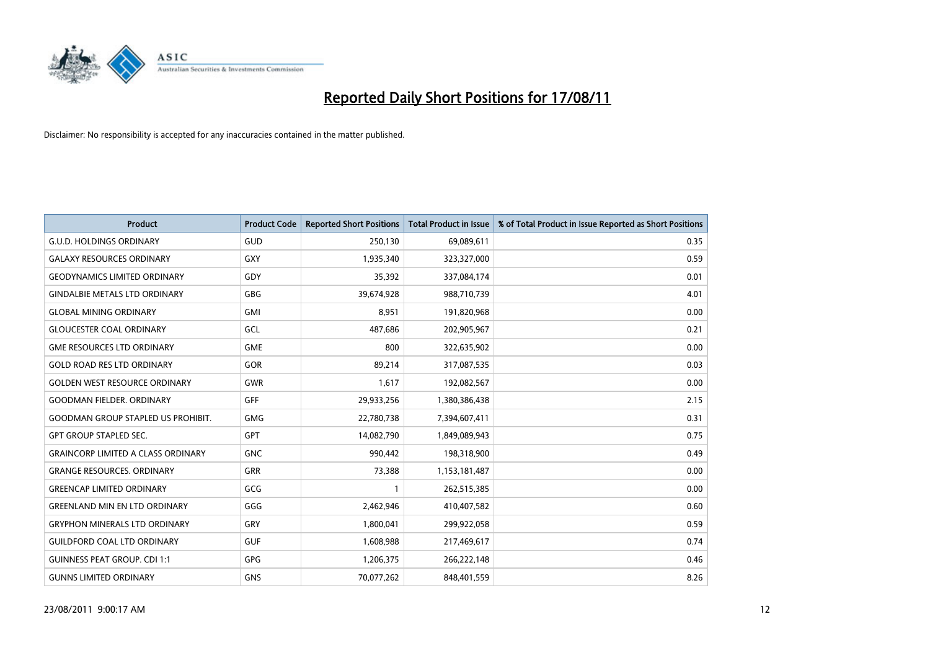

| <b>Product</b>                            | <b>Product Code</b> | <b>Reported Short Positions</b> | <b>Total Product in Issue</b> | % of Total Product in Issue Reported as Short Positions |
|-------------------------------------------|---------------------|---------------------------------|-------------------------------|---------------------------------------------------------|
| <b>G.U.D. HOLDINGS ORDINARY</b>           | <b>GUD</b>          | 250,130                         | 69,089,611                    | 0.35                                                    |
| <b>GALAXY RESOURCES ORDINARY</b>          | GXY                 | 1,935,340                       | 323,327,000                   | 0.59                                                    |
| <b>GEODYNAMICS LIMITED ORDINARY</b>       | GDY                 | 35,392                          | 337,084,174                   | 0.01                                                    |
| <b>GINDALBIE METALS LTD ORDINARY</b>      | <b>GBG</b>          | 39,674,928                      | 988,710,739                   | 4.01                                                    |
| <b>GLOBAL MINING ORDINARY</b>             | <b>GMI</b>          | 8,951                           | 191,820,968                   | 0.00                                                    |
| <b>GLOUCESTER COAL ORDINARY</b>           | GCL                 | 487,686                         | 202,905,967                   | 0.21                                                    |
| <b>GME RESOURCES LTD ORDINARY</b>         | <b>GME</b>          | 800                             | 322,635,902                   | 0.00                                                    |
| <b>GOLD ROAD RES LTD ORDINARY</b>         | GOR                 | 89,214                          | 317,087,535                   | 0.03                                                    |
| <b>GOLDEN WEST RESOURCE ORDINARY</b>      | <b>GWR</b>          | 1,617                           | 192,082,567                   | 0.00                                                    |
| <b>GOODMAN FIELDER, ORDINARY</b>          | <b>GFF</b>          | 29,933,256                      | 1,380,386,438                 | 2.15                                                    |
| <b>GOODMAN GROUP STAPLED US PROHIBIT.</b> | <b>GMG</b>          | 22,780,738                      | 7,394,607,411                 | 0.31                                                    |
| <b>GPT GROUP STAPLED SEC.</b>             | <b>GPT</b>          | 14,082,790                      | 1,849,089,943                 | 0.75                                                    |
| <b>GRAINCORP LIMITED A CLASS ORDINARY</b> | <b>GNC</b>          | 990,442                         | 198,318,900                   | 0.49                                                    |
| <b>GRANGE RESOURCES, ORDINARY</b>         | <b>GRR</b>          | 73,388                          | 1,153,181,487                 | 0.00                                                    |
| <b>GREENCAP LIMITED ORDINARY</b>          | <b>GCG</b>          |                                 | 262,515,385                   | 0.00                                                    |
| <b>GREENLAND MIN EN LTD ORDINARY</b>      | GGG                 | 2,462,946                       | 410,407,582                   | 0.60                                                    |
| <b>GRYPHON MINERALS LTD ORDINARY</b>      | GRY                 | 1,800,041                       | 299,922,058                   | 0.59                                                    |
| <b>GUILDFORD COAL LTD ORDINARY</b>        | <b>GUF</b>          | 1,608,988                       | 217,469,617                   | 0.74                                                    |
| <b>GUINNESS PEAT GROUP. CDI 1:1</b>       | <b>GPG</b>          | 1,206,375                       | 266,222,148                   | 0.46                                                    |
| <b>GUNNS LIMITED ORDINARY</b>             | <b>GNS</b>          | 70,077,262                      | 848,401,559                   | 8.26                                                    |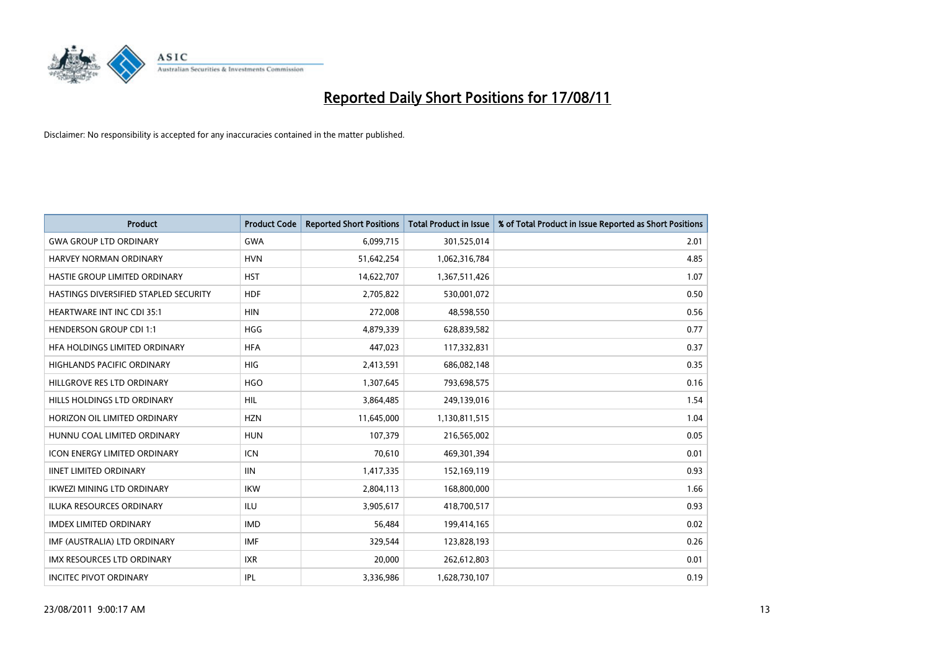

| <b>Product</b>                        | <b>Product Code</b> | <b>Reported Short Positions</b> | <b>Total Product in Issue</b> | % of Total Product in Issue Reported as Short Positions |
|---------------------------------------|---------------------|---------------------------------|-------------------------------|---------------------------------------------------------|
| <b>GWA GROUP LTD ORDINARY</b>         | <b>GWA</b>          | 6,099,715                       | 301,525,014                   | 2.01                                                    |
| <b>HARVEY NORMAN ORDINARY</b>         | <b>HVN</b>          | 51,642,254                      | 1,062,316,784                 | 4.85                                                    |
| <b>HASTIE GROUP LIMITED ORDINARY</b>  | <b>HST</b>          | 14,622,707                      | 1,367,511,426                 | 1.07                                                    |
| HASTINGS DIVERSIFIED STAPLED SECURITY | <b>HDF</b>          | 2,705,822                       | 530,001,072                   | 0.50                                                    |
| <b>HEARTWARE INT INC CDI 35:1</b>     | <b>HIN</b>          | 272,008                         | 48,598,550                    | 0.56                                                    |
| <b>HENDERSON GROUP CDI 1:1</b>        | <b>HGG</b>          | 4,879,339                       | 628,839,582                   | 0.77                                                    |
| HFA HOLDINGS LIMITED ORDINARY         | <b>HFA</b>          | 447,023                         | 117,332,831                   | 0.37                                                    |
| <b>HIGHLANDS PACIFIC ORDINARY</b>     | <b>HIG</b>          | 2,413,591                       | 686,082,148                   | 0.35                                                    |
| HILLGROVE RES LTD ORDINARY            | <b>HGO</b>          | 1,307,645                       | 793,698,575                   | 0.16                                                    |
| HILLS HOLDINGS LTD ORDINARY           | <b>HIL</b>          | 3,864,485                       | 249,139,016                   | 1.54                                                    |
| HORIZON OIL LIMITED ORDINARY          | <b>HZN</b>          | 11,645,000                      | 1,130,811,515                 | 1.04                                                    |
| HUNNU COAL LIMITED ORDINARY           | <b>HUN</b>          | 107,379                         | 216,565,002                   | 0.05                                                    |
| <b>ICON ENERGY LIMITED ORDINARY</b>   | <b>ICN</b>          | 70.610                          | 469,301,394                   | 0.01                                                    |
| <b>IINET LIMITED ORDINARY</b>         | <b>IIN</b>          | 1,417,335                       | 152,169,119                   | 0.93                                                    |
| <b>IKWEZI MINING LTD ORDINARY</b>     | <b>IKW</b>          | 2,804,113                       | 168,800,000                   | 1.66                                                    |
| <b>ILUKA RESOURCES ORDINARY</b>       | <b>ILU</b>          | 3,905,617                       | 418,700,517                   | 0.93                                                    |
| <b>IMDEX LIMITED ORDINARY</b>         | <b>IMD</b>          | 56,484                          | 199,414,165                   | 0.02                                                    |
| IMF (AUSTRALIA) LTD ORDINARY          | <b>IMF</b>          | 329,544                         | 123,828,193                   | 0.26                                                    |
| <b>IMX RESOURCES LTD ORDINARY</b>     | <b>IXR</b>          | 20,000                          | 262,612,803                   | 0.01                                                    |
| <b>INCITEC PIVOT ORDINARY</b>         | <b>IPL</b>          | 3,336,986                       | 1,628,730,107                 | 0.19                                                    |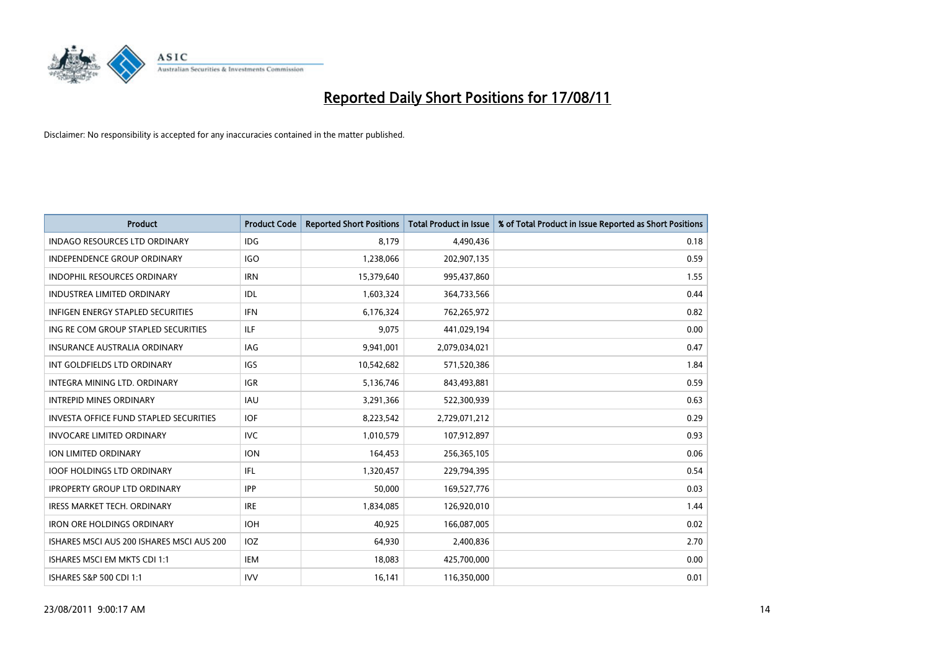

| <b>Product</b>                                | <b>Product Code</b> | <b>Reported Short Positions</b> | <b>Total Product in Issue</b> | % of Total Product in Issue Reported as Short Positions |
|-----------------------------------------------|---------------------|---------------------------------|-------------------------------|---------------------------------------------------------|
| <b>INDAGO RESOURCES LTD ORDINARY</b>          | <b>IDG</b>          | 8,179                           | 4,490,436                     | 0.18                                                    |
| INDEPENDENCE GROUP ORDINARY                   | IGO                 | 1,238,066                       | 202,907,135                   | 0.59                                                    |
| <b>INDOPHIL RESOURCES ORDINARY</b>            | <b>IRN</b>          | 15,379,640                      | 995,437,860                   | 1.55                                                    |
| <b>INDUSTREA LIMITED ORDINARY</b>             | IDL                 | 1,603,324                       | 364,733,566                   | 0.44                                                    |
| <b>INFIGEN ENERGY STAPLED SECURITIES</b>      | <b>IFN</b>          | 6,176,324                       | 762,265,972                   | 0.82                                                    |
| ING RE COM GROUP STAPLED SECURITIES           | <b>ILF</b>          | 9,075                           | 441,029,194                   | 0.00                                                    |
| INSURANCE AUSTRALIA ORDINARY                  | <b>IAG</b>          | 9,941,001                       | 2,079,034,021                 | 0.47                                                    |
| INT GOLDFIELDS LTD ORDINARY                   | <b>IGS</b>          | 10,542,682                      | 571,520,386                   | 1.84                                                    |
| INTEGRA MINING LTD, ORDINARY                  | <b>IGR</b>          | 5,136,746                       | 843,493,881                   | 0.59                                                    |
| <b>INTREPID MINES ORDINARY</b>                | <b>IAU</b>          | 3,291,366                       | 522,300,939                   | 0.63                                                    |
| <b>INVESTA OFFICE FUND STAPLED SECURITIES</b> | <b>IOF</b>          | 8,223,542                       | 2,729,071,212                 | 0.29                                                    |
| <b>INVOCARE LIMITED ORDINARY</b>              | <b>IVC</b>          | 1,010,579                       | 107,912,897                   | 0.93                                                    |
| <b>ION LIMITED ORDINARY</b>                   | <b>ION</b>          | 164,453                         | 256,365,105                   | 0.06                                                    |
| <b>IOOF HOLDINGS LTD ORDINARY</b>             | IFL.                | 1,320,457                       | 229,794,395                   | 0.54                                                    |
| <b>IPROPERTY GROUP LTD ORDINARY</b>           | <b>IPP</b>          | 50,000                          | 169,527,776                   | 0.03                                                    |
| IRESS MARKET TECH. ORDINARY                   | <b>IRE</b>          | 1,834,085                       | 126,920,010                   | 1.44                                                    |
| <b>IRON ORE HOLDINGS ORDINARY</b>             | <b>IOH</b>          | 40,925                          | 166,087,005                   | 0.02                                                    |
| ISHARES MSCI AUS 200 ISHARES MSCI AUS 200     | IOZ                 | 64,930                          | 2,400,836                     | 2.70                                                    |
| ISHARES MSCI EM MKTS CDI 1:1                  | <b>IEM</b>          | 18,083                          | 425,700,000                   | 0.00                                                    |
| ISHARES S&P 500 CDI 1:1                       | <b>IVV</b>          | 16,141                          | 116,350,000                   | 0.01                                                    |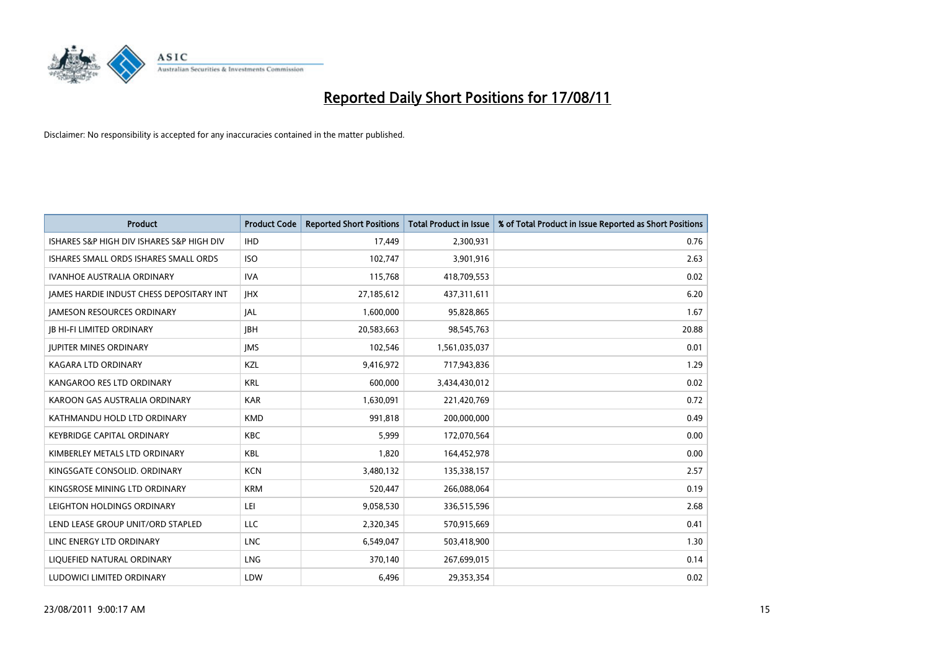

| <b>Product</b>                            | <b>Product Code</b> | <b>Reported Short Positions</b> | <b>Total Product in Issue</b> | % of Total Product in Issue Reported as Short Positions |
|-------------------------------------------|---------------------|---------------------------------|-------------------------------|---------------------------------------------------------|
| ISHARES S&P HIGH DIV ISHARES S&P HIGH DIV | <b>IHD</b>          | 17,449                          | 2,300,931                     | 0.76                                                    |
| ISHARES SMALL ORDS ISHARES SMALL ORDS     | <b>ISO</b>          | 102,747                         | 3,901,916                     | 2.63                                                    |
| <b>IVANHOE AUSTRALIA ORDINARY</b>         | <b>IVA</b>          | 115,768                         | 418,709,553                   | 0.02                                                    |
| JAMES HARDIE INDUST CHESS DEPOSITARY INT  | <b>IHX</b>          | 27,185,612                      | 437,311,611                   | 6.20                                                    |
| <b>JAMESON RESOURCES ORDINARY</b>         | <b>JAL</b>          | 1,600,000                       | 95,828,865                    | 1.67                                                    |
| <b>JB HI-FI LIMITED ORDINARY</b>          | <b>IBH</b>          | 20,583,663                      | 98,545,763                    | 20.88                                                   |
| <b>JUPITER MINES ORDINARY</b>             | <b>JMS</b>          | 102,546                         | 1,561,035,037                 | 0.01                                                    |
| <b>KAGARA LTD ORDINARY</b>                | KZL                 | 9,416,972                       | 717,943,836                   | 1.29                                                    |
| KANGAROO RES LTD ORDINARY                 | <b>KRL</b>          | 600.000                         | 3,434,430,012                 | 0.02                                                    |
| KAROON GAS AUSTRALIA ORDINARY             | <b>KAR</b>          | 1,630,091                       | 221,420,769                   | 0.72                                                    |
| KATHMANDU HOLD LTD ORDINARY               | <b>KMD</b>          | 991,818                         | 200,000,000                   | 0.49                                                    |
| <b>KEYBRIDGE CAPITAL ORDINARY</b>         | <b>KBC</b>          | 5,999                           | 172,070,564                   | 0.00                                                    |
| KIMBERLEY METALS LTD ORDINARY             | <b>KBL</b>          | 1,820                           | 164,452,978                   | 0.00                                                    |
| KINGSGATE CONSOLID. ORDINARY              | <b>KCN</b>          | 3,480,132                       | 135,338,157                   | 2.57                                                    |
| KINGSROSE MINING LTD ORDINARY             | <b>KRM</b>          | 520,447                         | 266,088,064                   | 0.19                                                    |
| LEIGHTON HOLDINGS ORDINARY                | LEI                 | 9,058,530                       | 336,515,596                   | 2.68                                                    |
| LEND LEASE GROUP UNIT/ORD STAPLED         | LLC                 | 2,320,345                       | 570,915,669                   | 0.41                                                    |
| LINC ENERGY LTD ORDINARY                  | <b>LNC</b>          | 6,549,047                       | 503,418,900                   | 1.30                                                    |
| LIQUEFIED NATURAL ORDINARY                | LNG                 | 370,140                         | 267,699,015                   | 0.14                                                    |
| LUDOWICI LIMITED ORDINARY                 | LDW                 | 6,496                           | 29,353,354                    | 0.02                                                    |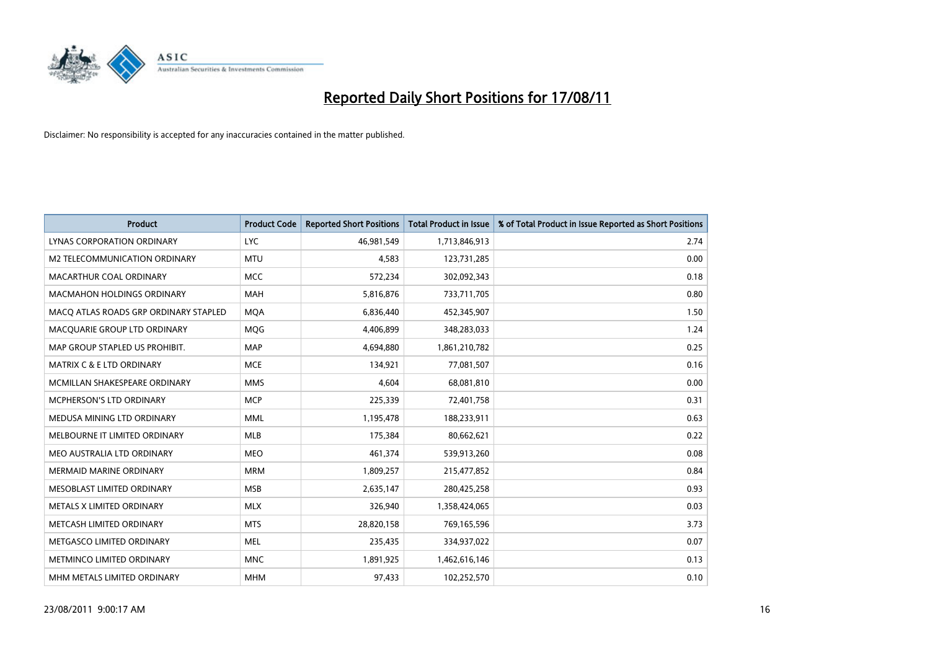

| <b>Product</b>                        | <b>Product Code</b> | <b>Reported Short Positions</b> | <b>Total Product in Issue</b> | % of Total Product in Issue Reported as Short Positions |
|---------------------------------------|---------------------|---------------------------------|-------------------------------|---------------------------------------------------------|
| LYNAS CORPORATION ORDINARY            | <b>LYC</b>          | 46,981,549                      | 1,713,846,913                 | 2.74                                                    |
| M2 TELECOMMUNICATION ORDINARY         | <b>MTU</b>          | 4,583                           | 123,731,285                   | 0.00                                                    |
| MACARTHUR COAL ORDINARY               | <b>MCC</b>          | 572,234                         | 302,092,343                   | 0.18                                                    |
| <b>MACMAHON HOLDINGS ORDINARY</b>     | <b>MAH</b>          | 5,816,876                       | 733,711,705                   | 0.80                                                    |
| MACO ATLAS ROADS GRP ORDINARY STAPLED | <b>MOA</b>          | 6,836,440                       | 452,345,907                   | 1.50                                                    |
| MACQUARIE GROUP LTD ORDINARY          | <b>MQG</b>          | 4,406,899                       | 348,283,033                   | 1.24                                                    |
| MAP GROUP STAPLED US PROHIBIT.        | <b>MAP</b>          | 4,694,880                       | 1,861,210,782                 | 0.25                                                    |
| MATRIX C & E LTD ORDINARY             | <b>MCE</b>          | 134,921                         | 77,081,507                    | 0.16                                                    |
| MCMILLAN SHAKESPEARE ORDINARY         | <b>MMS</b>          | 4,604                           | 68,081,810                    | 0.00                                                    |
| MCPHERSON'S LTD ORDINARY              | <b>MCP</b>          | 225,339                         | 72,401,758                    | 0.31                                                    |
| MEDUSA MINING LTD ORDINARY            | <b>MML</b>          | 1,195,478                       | 188,233,911                   | 0.63                                                    |
| MELBOURNE IT LIMITED ORDINARY         | <b>MLB</b>          | 175,384                         | 80,662,621                    | 0.22                                                    |
| MEO AUSTRALIA LTD ORDINARY            | <b>MEO</b>          | 461,374                         | 539,913,260                   | 0.08                                                    |
| <b>MERMAID MARINE ORDINARY</b>        | <b>MRM</b>          | 1,809,257                       | 215,477,852                   | 0.84                                                    |
| MESOBLAST LIMITED ORDINARY            | <b>MSB</b>          | 2,635,147                       | 280,425,258                   | 0.93                                                    |
| METALS X LIMITED ORDINARY             | <b>MLX</b>          | 326,940                         | 1,358,424,065                 | 0.03                                                    |
| METCASH LIMITED ORDINARY              | <b>MTS</b>          | 28,820,158                      | 769,165,596                   | 3.73                                                    |
| METGASCO LIMITED ORDINARY             | <b>MEL</b>          | 235,435                         | 334,937,022                   | 0.07                                                    |
| METMINCO LIMITED ORDINARY             | <b>MNC</b>          | 1,891,925                       | 1,462,616,146                 | 0.13                                                    |
| MHM METALS LIMITED ORDINARY           | <b>MHM</b>          | 97,433                          | 102,252,570                   | 0.10                                                    |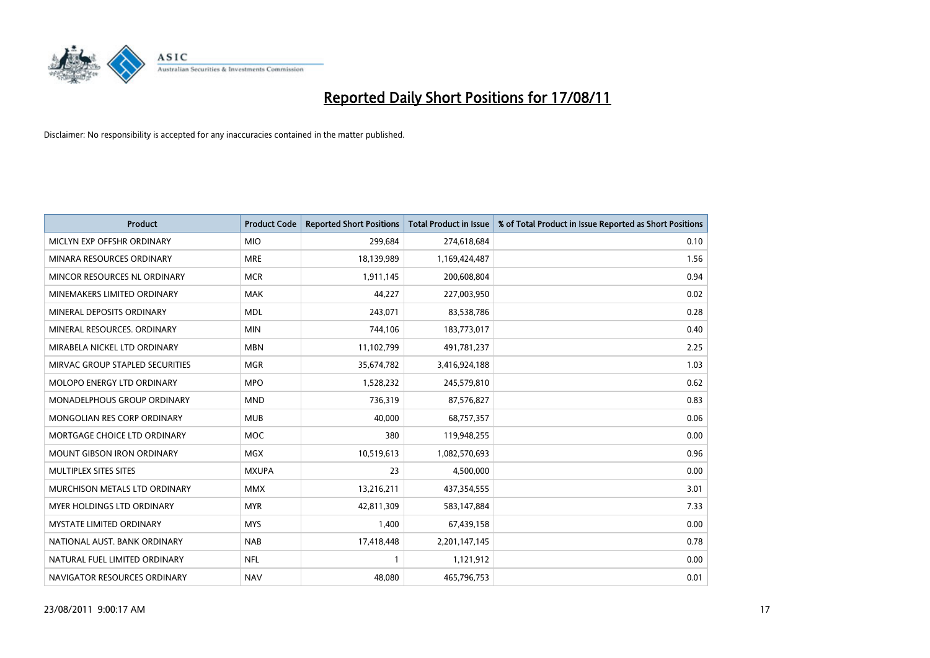

| <b>Product</b>                     | <b>Product Code</b> | <b>Reported Short Positions</b> | <b>Total Product in Issue</b> | % of Total Product in Issue Reported as Short Positions |
|------------------------------------|---------------------|---------------------------------|-------------------------------|---------------------------------------------------------|
| MICLYN EXP OFFSHR ORDINARY         | <b>MIO</b>          | 299,684                         | 274,618,684                   | 0.10                                                    |
| MINARA RESOURCES ORDINARY          | <b>MRE</b>          | 18,139,989                      | 1,169,424,487                 | 1.56                                                    |
| MINCOR RESOURCES NL ORDINARY       | <b>MCR</b>          | 1,911,145                       | 200,608,804                   | 0.94                                                    |
| MINEMAKERS LIMITED ORDINARY        | <b>MAK</b>          | 44,227                          | 227,003,950                   | 0.02                                                    |
| MINERAL DEPOSITS ORDINARY          | <b>MDL</b>          | 243,071                         | 83,538,786                    | 0.28                                                    |
| MINERAL RESOURCES, ORDINARY        | <b>MIN</b>          | 744,106                         | 183,773,017                   | 0.40                                                    |
| MIRABELA NICKEL LTD ORDINARY       | <b>MBN</b>          | 11,102,799                      | 491,781,237                   | 2.25                                                    |
| MIRVAC GROUP STAPLED SECURITIES    | <b>MGR</b>          | 35,674,782                      | 3,416,924,188                 | 1.03                                                    |
| MOLOPO ENERGY LTD ORDINARY         | <b>MPO</b>          | 1,528,232                       | 245,579,810                   | 0.62                                                    |
| <b>MONADELPHOUS GROUP ORDINARY</b> | <b>MND</b>          | 736,319                         | 87,576,827                    | 0.83                                                    |
| MONGOLIAN RES CORP ORDINARY        | <b>MUB</b>          | 40,000                          | 68,757,357                    | 0.06                                                    |
| MORTGAGE CHOICE LTD ORDINARY       | <b>MOC</b>          | 380                             | 119,948,255                   | 0.00                                                    |
| MOUNT GIBSON IRON ORDINARY         | <b>MGX</b>          | 10,519,613                      | 1,082,570,693                 | 0.96                                                    |
| MULTIPLEX SITES SITES              | <b>MXUPA</b>        | 23                              | 4,500,000                     | 0.00                                                    |
| MURCHISON METALS LTD ORDINARY      | <b>MMX</b>          | 13,216,211                      | 437,354,555                   | 3.01                                                    |
| MYER HOLDINGS LTD ORDINARY         | <b>MYR</b>          | 42,811,309                      | 583,147,884                   | 7.33                                                    |
| MYSTATE LIMITED ORDINARY           | <b>MYS</b>          | 1,400                           | 67,439,158                    | 0.00                                                    |
| NATIONAL AUST, BANK ORDINARY       | <b>NAB</b>          | 17,418,448                      | 2,201,147,145                 | 0.78                                                    |
| NATURAL FUEL LIMITED ORDINARY      | <b>NFL</b>          |                                 | 1,121,912                     | 0.00                                                    |
| NAVIGATOR RESOURCES ORDINARY       | <b>NAV</b>          | 48,080                          | 465,796,753                   | 0.01                                                    |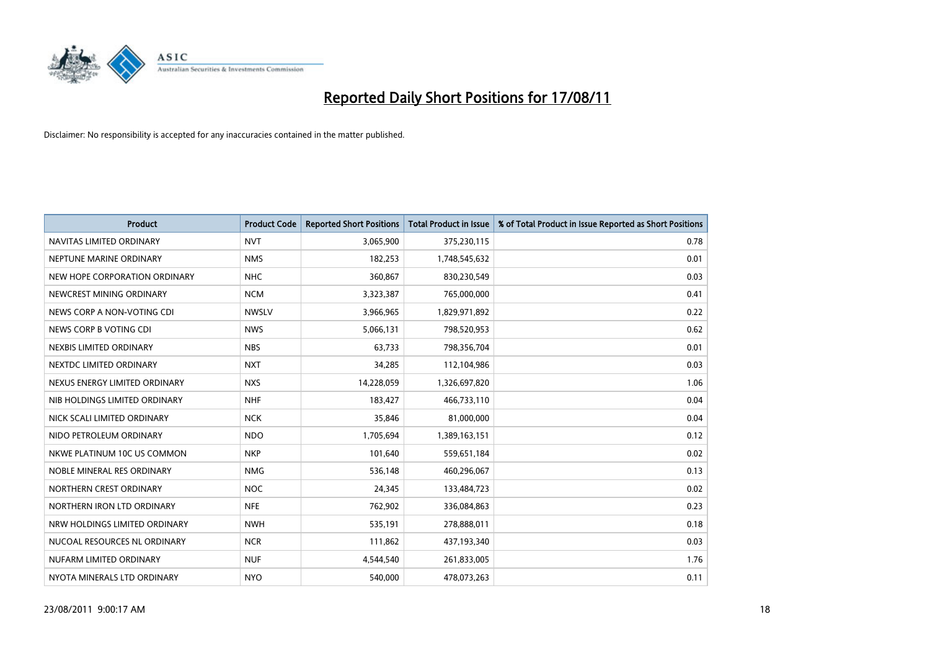

| <b>Product</b>                | <b>Product Code</b> | <b>Reported Short Positions</b> | Total Product in Issue | % of Total Product in Issue Reported as Short Positions |
|-------------------------------|---------------------|---------------------------------|------------------------|---------------------------------------------------------|
| NAVITAS LIMITED ORDINARY      | <b>NVT</b>          | 3,065,900                       | 375,230,115            | 0.78                                                    |
| NEPTUNE MARINE ORDINARY       | <b>NMS</b>          | 182,253                         | 1,748,545,632          | 0.01                                                    |
| NEW HOPE CORPORATION ORDINARY | <b>NHC</b>          | 360,867                         | 830,230,549            | 0.03                                                    |
| NEWCREST MINING ORDINARY      | <b>NCM</b>          | 3,323,387                       | 765,000,000            | 0.41                                                    |
| NEWS CORP A NON-VOTING CDI    | <b>NWSLV</b>        | 3,966,965                       | 1,829,971,892          | 0.22                                                    |
| NEWS CORP B VOTING CDI        | <b>NWS</b>          | 5,066,131                       | 798,520,953            | 0.62                                                    |
| NEXBIS LIMITED ORDINARY       | <b>NBS</b>          | 63,733                          | 798,356,704            | 0.01                                                    |
| NEXTDC LIMITED ORDINARY       | <b>NXT</b>          | 34,285                          | 112,104,986            | 0.03                                                    |
| NEXUS ENERGY LIMITED ORDINARY | <b>NXS</b>          | 14,228,059                      | 1,326,697,820          | 1.06                                                    |
| NIB HOLDINGS LIMITED ORDINARY | <b>NHF</b>          | 183,427                         | 466,733,110            | 0.04                                                    |
| NICK SCALI LIMITED ORDINARY   | <b>NCK</b>          | 35,846                          | 81,000,000             | 0.04                                                    |
| NIDO PETROLEUM ORDINARY       | <b>NDO</b>          | 1,705,694                       | 1,389,163,151          | 0.12                                                    |
| NKWE PLATINUM 10C US COMMON   | <b>NKP</b>          | 101,640                         | 559,651,184            | 0.02                                                    |
| NOBLE MINERAL RES ORDINARY    | <b>NMG</b>          | 536,148                         | 460,296,067            | 0.13                                                    |
| NORTHERN CREST ORDINARY       | <b>NOC</b>          | 24,345                          | 133,484,723            | 0.02                                                    |
| NORTHERN IRON LTD ORDINARY    | <b>NFE</b>          | 762,902                         | 336,084,863            | 0.23                                                    |
| NRW HOLDINGS LIMITED ORDINARY | <b>NWH</b>          | 535,191                         | 278,888,011            | 0.18                                                    |
| NUCOAL RESOURCES NL ORDINARY  | <b>NCR</b>          | 111,862                         | 437,193,340            | 0.03                                                    |
| NUFARM LIMITED ORDINARY       | <b>NUF</b>          | 4,544,540                       | 261,833,005            | 1.76                                                    |
| NYOTA MINERALS LTD ORDINARY   | <b>NYO</b>          | 540,000                         | 478,073,263            | 0.11                                                    |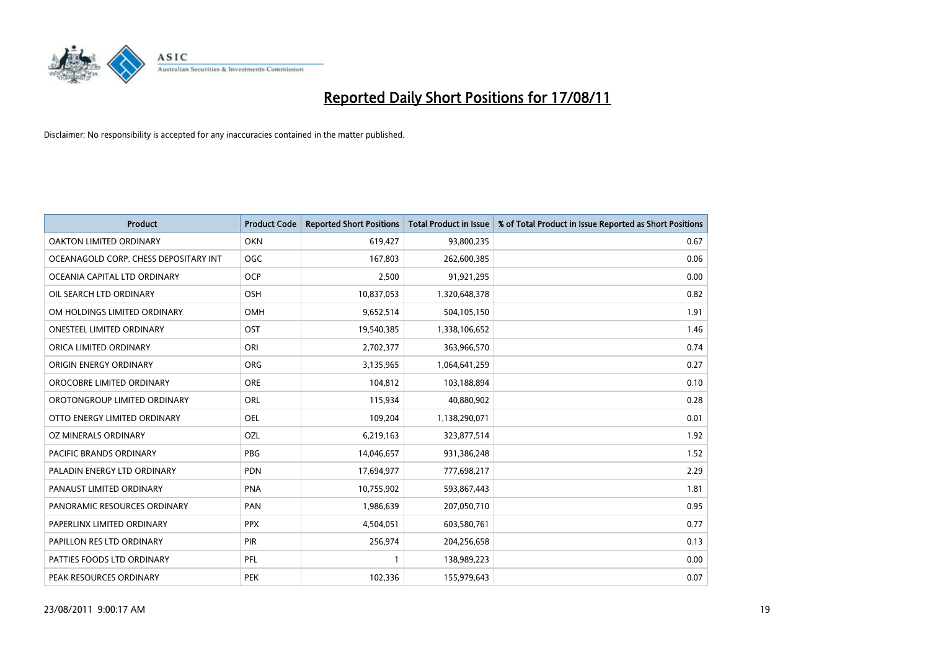

| <b>Product</b>                        | <b>Product Code</b> | <b>Reported Short Positions</b> | <b>Total Product in Issue</b> | % of Total Product in Issue Reported as Short Positions |
|---------------------------------------|---------------------|---------------------------------|-------------------------------|---------------------------------------------------------|
| <b>OAKTON LIMITED ORDINARY</b>        | <b>OKN</b>          | 619,427                         | 93,800,235                    | 0.67                                                    |
| OCEANAGOLD CORP. CHESS DEPOSITARY INT | <b>OGC</b>          | 167,803                         | 262,600,385                   | 0.06                                                    |
| OCEANIA CAPITAL LTD ORDINARY          | <b>OCP</b>          | 2,500                           | 91,921,295                    | 0.00                                                    |
| OIL SEARCH LTD ORDINARY               | <b>OSH</b>          | 10,837,053                      | 1,320,648,378                 | 0.82                                                    |
| OM HOLDINGS LIMITED ORDINARY          | <b>OMH</b>          | 9,652,514                       | 504,105,150                   | 1.91                                                    |
| <b>ONESTEEL LIMITED ORDINARY</b>      | OST                 | 19,540,385                      | 1,338,106,652                 | 1.46                                                    |
| ORICA LIMITED ORDINARY                | ORI                 | 2,702,377                       | 363,966,570                   | 0.74                                                    |
| ORIGIN ENERGY ORDINARY                | <b>ORG</b>          | 3,135,965                       | 1,064,641,259                 | 0.27                                                    |
| OROCOBRE LIMITED ORDINARY             | <b>ORE</b>          | 104,812                         | 103,188,894                   | 0.10                                                    |
| OROTONGROUP LIMITED ORDINARY          | ORL                 | 115,934                         | 40,880,902                    | 0.28                                                    |
| OTTO ENERGY LIMITED ORDINARY          | <b>OEL</b>          | 109,204                         | 1,138,290,071                 | 0.01                                                    |
| OZ MINERALS ORDINARY                  | OZL                 | 6,219,163                       | 323,877,514                   | 1.92                                                    |
| PACIFIC BRANDS ORDINARY               | <b>PBG</b>          | 14,046,657                      | 931,386,248                   | 1.52                                                    |
| PALADIN ENERGY LTD ORDINARY           | <b>PDN</b>          | 17,694,977                      | 777,698,217                   | 2.29                                                    |
| PANAUST LIMITED ORDINARY              | <b>PNA</b>          | 10,755,902                      | 593,867,443                   | 1.81                                                    |
| PANORAMIC RESOURCES ORDINARY          | PAN                 | 1,986,639                       | 207,050,710                   | 0.95                                                    |
| PAPERLINX LIMITED ORDINARY            | <b>PPX</b>          | 4,504,051                       | 603,580,761                   | 0.77                                                    |
| PAPILLON RES LTD ORDINARY             | PIR                 | 256,974                         | 204,256,658                   | 0.13                                                    |
| PATTIES FOODS LTD ORDINARY            | PFL                 |                                 | 138,989,223                   | 0.00                                                    |
| PEAK RESOURCES ORDINARY               | <b>PEK</b>          | 102,336                         | 155,979,643                   | 0.07                                                    |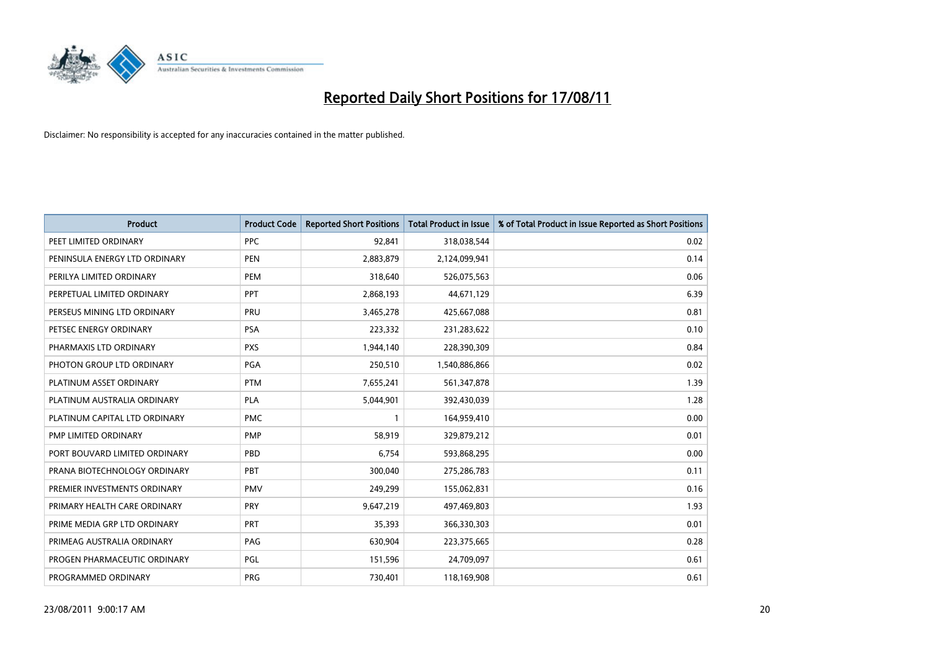

| <b>Product</b>                | <b>Product Code</b> | <b>Reported Short Positions</b> | <b>Total Product in Issue</b> | % of Total Product in Issue Reported as Short Positions |
|-------------------------------|---------------------|---------------------------------|-------------------------------|---------------------------------------------------------|
| PEET LIMITED ORDINARY         | <b>PPC</b>          | 92,841                          | 318,038,544                   | 0.02                                                    |
| PENINSULA ENERGY LTD ORDINARY | <b>PEN</b>          | 2,883,879                       | 2,124,099,941                 | 0.14                                                    |
| PERILYA LIMITED ORDINARY      | PEM                 | 318,640                         | 526,075,563                   | 0.06                                                    |
| PERPETUAL LIMITED ORDINARY    | PPT                 | 2,868,193                       | 44,671,129                    | 6.39                                                    |
| PERSEUS MINING LTD ORDINARY   | PRU                 | 3,465,278                       | 425,667,088                   | 0.81                                                    |
| PETSEC ENERGY ORDINARY        | <b>PSA</b>          | 223,332                         | 231,283,622                   | 0.10                                                    |
| PHARMAXIS LTD ORDINARY        | <b>PXS</b>          | 1,944,140                       | 228,390,309                   | 0.84                                                    |
| PHOTON GROUP LTD ORDINARY     | PGA                 | 250,510                         | 1,540,886,866                 | 0.02                                                    |
| PLATINUM ASSET ORDINARY       | <b>PTM</b>          | 7,655,241                       | 561,347,878                   | 1.39                                                    |
| PLATINUM AUSTRALIA ORDINARY   | <b>PLA</b>          | 5,044,901                       | 392,430,039                   | 1.28                                                    |
| PLATINUM CAPITAL LTD ORDINARY | <b>PMC</b>          |                                 | 164,959,410                   | 0.00                                                    |
| PMP LIMITED ORDINARY          | <b>PMP</b>          | 58,919                          | 329,879,212                   | 0.01                                                    |
| PORT BOUVARD LIMITED ORDINARY | PBD                 | 6,754                           | 593,868,295                   | 0.00                                                    |
| PRANA BIOTECHNOLOGY ORDINARY  | PBT                 | 300,040                         | 275,286,783                   | 0.11                                                    |
| PREMIER INVESTMENTS ORDINARY  | <b>PMV</b>          | 249,299                         | 155,062,831                   | 0.16                                                    |
| PRIMARY HEALTH CARE ORDINARY  | <b>PRY</b>          | 9,647,219                       | 497,469,803                   | 1.93                                                    |
| PRIME MEDIA GRP LTD ORDINARY  | PRT                 | 35,393                          | 366,330,303                   | 0.01                                                    |
| PRIMEAG AUSTRALIA ORDINARY    | PAG                 | 630,904                         | 223,375,665                   | 0.28                                                    |
| PROGEN PHARMACEUTIC ORDINARY  | PGL                 | 151,596                         | 24,709,097                    | 0.61                                                    |
| PROGRAMMED ORDINARY           | <b>PRG</b>          | 730,401                         | 118,169,908                   | 0.61                                                    |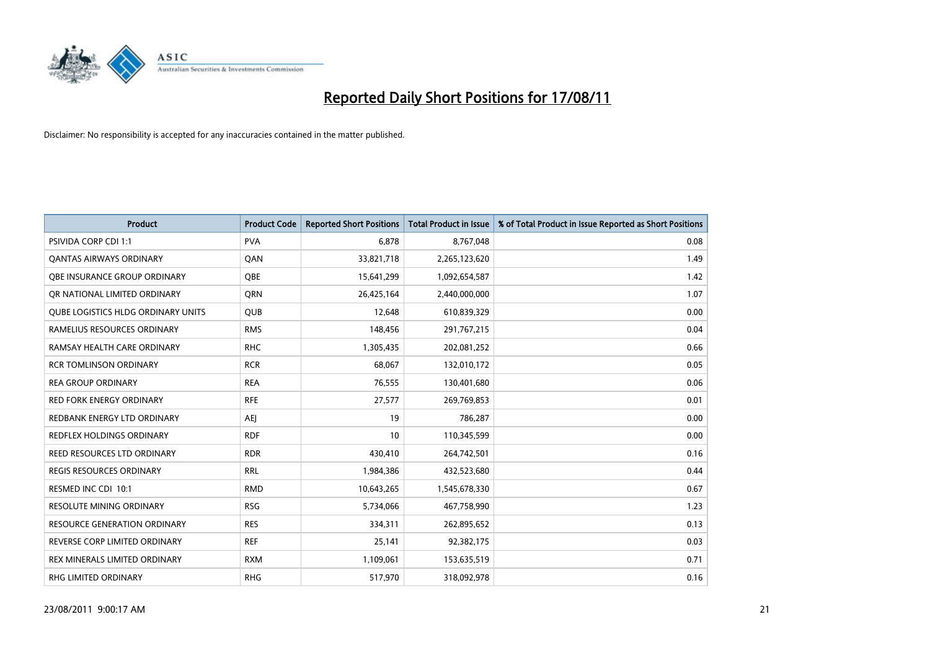

| <b>Product</b>                     | <b>Product Code</b> | <b>Reported Short Positions</b> | Total Product in Issue | % of Total Product in Issue Reported as Short Positions |
|------------------------------------|---------------------|---------------------------------|------------------------|---------------------------------------------------------|
| <b>PSIVIDA CORP CDI 1:1</b>        | <b>PVA</b>          | 6.878                           | 8,767,048              | 0.08                                                    |
| <b>QANTAS AIRWAYS ORDINARY</b>     | QAN                 | 33,821,718                      | 2,265,123,620          | 1.49                                                    |
| OBE INSURANCE GROUP ORDINARY       | <b>OBE</b>          | 15,641,299                      | 1,092,654,587          | 1.42                                                    |
| OR NATIONAL LIMITED ORDINARY       | <b>ORN</b>          | 26,425,164                      | 2,440,000,000          | 1.07                                                    |
| QUBE LOGISTICS HLDG ORDINARY UNITS | <b>QUB</b>          | 12,648                          | 610,839,329            | 0.00                                                    |
| RAMELIUS RESOURCES ORDINARY        | <b>RMS</b>          | 148,456                         | 291,767,215            | 0.04                                                    |
| RAMSAY HEALTH CARE ORDINARY        | <b>RHC</b>          | 1,305,435                       | 202,081,252            | 0.66                                                    |
| <b>RCR TOMLINSON ORDINARY</b>      | <b>RCR</b>          | 68.067                          | 132,010,172            | 0.05                                                    |
| <b>REA GROUP ORDINARY</b>          | <b>REA</b>          | 76,555                          | 130,401,680            | 0.06                                                    |
| <b>RED FORK ENERGY ORDINARY</b>    | <b>RFE</b>          | 27,577                          | 269,769,853            | 0.01                                                    |
| REDBANK ENERGY LTD ORDINARY        | AEI                 | 19                              | 786,287                | 0.00                                                    |
| REDFLEX HOLDINGS ORDINARY          | <b>RDF</b>          | 10                              | 110,345,599            | 0.00                                                    |
| REED RESOURCES LTD ORDINARY        | <b>RDR</b>          | 430,410                         | 264,742,501            | 0.16                                                    |
| <b>REGIS RESOURCES ORDINARY</b>    | <b>RRL</b>          | 1,984,386                       | 432,523,680            | 0.44                                                    |
| RESMED INC CDI 10:1                | <b>RMD</b>          | 10,643,265                      | 1,545,678,330          | 0.67                                                    |
| <b>RESOLUTE MINING ORDINARY</b>    | <b>RSG</b>          | 5,734,066                       | 467,758,990            | 1.23                                                    |
| RESOURCE GENERATION ORDINARY       | <b>RES</b>          | 334,311                         | 262,895,652            | 0.13                                                    |
| REVERSE CORP LIMITED ORDINARY      | <b>REF</b>          | 25,141                          | 92,382,175             | 0.03                                                    |
| REX MINERALS LIMITED ORDINARY      | <b>RXM</b>          | 1,109,061                       | 153,635,519            | 0.71                                                    |
| <b>RHG LIMITED ORDINARY</b>        | <b>RHG</b>          | 517,970                         | 318,092,978            | 0.16                                                    |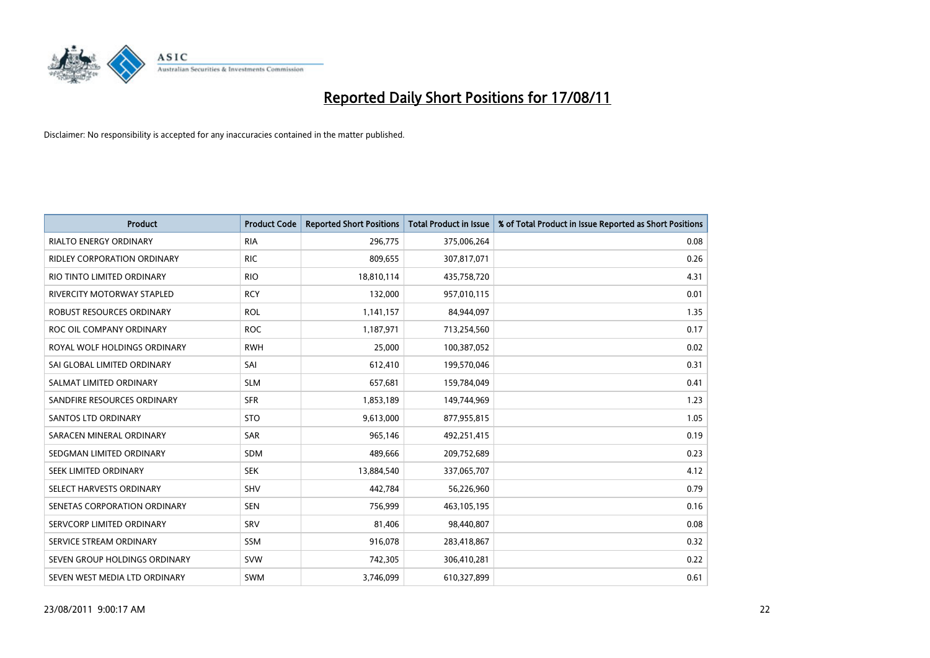

| <b>Product</b>                | <b>Product Code</b> | <b>Reported Short Positions</b> | <b>Total Product in Issue</b> | % of Total Product in Issue Reported as Short Positions |
|-------------------------------|---------------------|---------------------------------|-------------------------------|---------------------------------------------------------|
| <b>RIALTO ENERGY ORDINARY</b> | <b>RIA</b>          | 296,775                         | 375,006,264                   | 0.08                                                    |
| RIDLEY CORPORATION ORDINARY   | <b>RIC</b>          | 809,655                         | 307,817,071                   | 0.26                                                    |
| RIO TINTO LIMITED ORDINARY    | <b>RIO</b>          | 18,810,114                      | 435,758,720                   | 4.31                                                    |
| RIVERCITY MOTORWAY STAPLED    | <b>RCY</b>          | 132,000                         | 957,010,115                   | 0.01                                                    |
| ROBUST RESOURCES ORDINARY     | <b>ROL</b>          | 1,141,157                       | 84,944,097                    | 1.35                                                    |
| ROC OIL COMPANY ORDINARY      | <b>ROC</b>          | 1,187,971                       | 713,254,560                   | 0.17                                                    |
| ROYAL WOLF HOLDINGS ORDINARY  | <b>RWH</b>          | 25.000                          | 100,387,052                   | 0.02                                                    |
| SAI GLOBAL LIMITED ORDINARY   | SAI                 | 612,410                         | 199,570,046                   | 0.31                                                    |
| SALMAT LIMITED ORDINARY       | <b>SLM</b>          | 657,681                         | 159,784,049                   | 0.41                                                    |
| SANDFIRE RESOURCES ORDINARY   | <b>SFR</b>          | 1,853,189                       | 149,744,969                   | 1.23                                                    |
| <b>SANTOS LTD ORDINARY</b>    | <b>STO</b>          | 9,613,000                       | 877,955,815                   | 1.05                                                    |
| SARACEN MINERAL ORDINARY      | SAR                 | 965.146                         | 492,251,415                   | 0.19                                                    |
| SEDGMAN LIMITED ORDINARY      | <b>SDM</b>          | 489,666                         | 209,752,689                   | 0.23                                                    |
| SEEK LIMITED ORDINARY         | <b>SEK</b>          | 13,884,540                      | 337,065,707                   | 4.12                                                    |
| SELECT HARVESTS ORDINARY      | SHV                 | 442,784                         | 56,226,960                    | 0.79                                                    |
| SENETAS CORPORATION ORDINARY  | <b>SEN</b>          | 756,999                         | 463,105,195                   | 0.16                                                    |
| SERVCORP LIMITED ORDINARY     | SRV                 | 81,406                          | 98,440,807                    | 0.08                                                    |
| SERVICE STREAM ORDINARY       | <b>SSM</b>          | 916,078                         | 283,418,867                   | 0.32                                                    |
| SEVEN GROUP HOLDINGS ORDINARY | <b>SVW</b>          | 742,305                         | 306,410,281                   | 0.22                                                    |
| SEVEN WEST MEDIA LTD ORDINARY | <b>SWM</b>          | 3,746,099                       | 610,327,899                   | 0.61                                                    |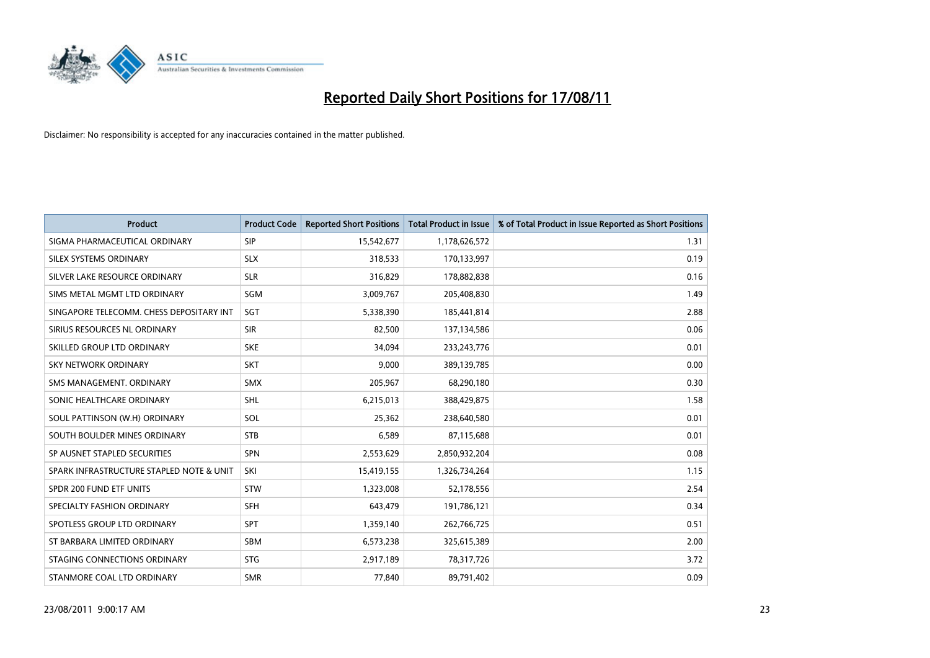

| <b>Product</b>                           | <b>Product Code</b> | <b>Reported Short Positions</b> | <b>Total Product in Issue</b> | % of Total Product in Issue Reported as Short Positions |
|------------------------------------------|---------------------|---------------------------------|-------------------------------|---------------------------------------------------------|
| SIGMA PHARMACEUTICAL ORDINARY            | SIP                 | 15,542,677                      | 1,178,626,572                 | 1.31                                                    |
| SILEX SYSTEMS ORDINARY                   | <b>SLX</b>          | 318,533                         | 170,133,997                   | 0.19                                                    |
| SILVER LAKE RESOURCE ORDINARY            | <b>SLR</b>          | 316,829                         | 178,882,838                   | 0.16                                                    |
| SIMS METAL MGMT LTD ORDINARY             | <b>SGM</b>          | 3,009,767                       | 205,408,830                   | 1.49                                                    |
| SINGAPORE TELECOMM. CHESS DEPOSITARY INT | SGT                 | 5,338,390                       | 185,441,814                   | 2.88                                                    |
| SIRIUS RESOURCES NL ORDINARY             | <b>SIR</b>          | 82,500                          | 137,134,586                   | 0.06                                                    |
| SKILLED GROUP LTD ORDINARY               | <b>SKE</b>          | 34,094                          | 233, 243, 776                 | 0.01                                                    |
| SKY NETWORK ORDINARY                     | <b>SKT</b>          | 9,000                           | 389,139,785                   | 0.00                                                    |
| SMS MANAGEMENT, ORDINARY                 | <b>SMX</b>          | 205,967                         | 68,290,180                    | 0.30                                                    |
| SONIC HEALTHCARE ORDINARY                | <b>SHL</b>          | 6,215,013                       | 388,429,875                   | 1.58                                                    |
| SOUL PATTINSON (W.H) ORDINARY            | SOL                 | 25,362                          | 238,640,580                   | 0.01                                                    |
| SOUTH BOULDER MINES ORDINARY             | <b>STB</b>          | 6,589                           | 87,115,688                    | 0.01                                                    |
| SP AUSNET STAPLED SECURITIES             | <b>SPN</b>          | 2,553,629                       | 2,850,932,204                 | 0.08                                                    |
| SPARK INFRASTRUCTURE STAPLED NOTE & UNIT | SKI                 | 15,419,155                      | 1,326,734,264                 | 1.15                                                    |
| SPDR 200 FUND ETF UNITS                  | STW                 | 1,323,008                       | 52,178,556                    | 2.54                                                    |
| SPECIALTY FASHION ORDINARY               | <b>SFH</b>          | 643,479                         | 191,786,121                   | 0.34                                                    |
| SPOTLESS GROUP LTD ORDINARY              | <b>SPT</b>          | 1,359,140                       | 262,766,725                   | 0.51                                                    |
| ST BARBARA LIMITED ORDINARY              | <b>SBM</b>          | 6,573,238                       | 325,615,389                   | 2.00                                                    |
| STAGING CONNECTIONS ORDINARY             | <b>STG</b>          | 2,917,189                       | 78,317,726                    | 3.72                                                    |
| STANMORE COAL LTD ORDINARY               | <b>SMR</b>          | 77,840                          | 89,791,402                    | 0.09                                                    |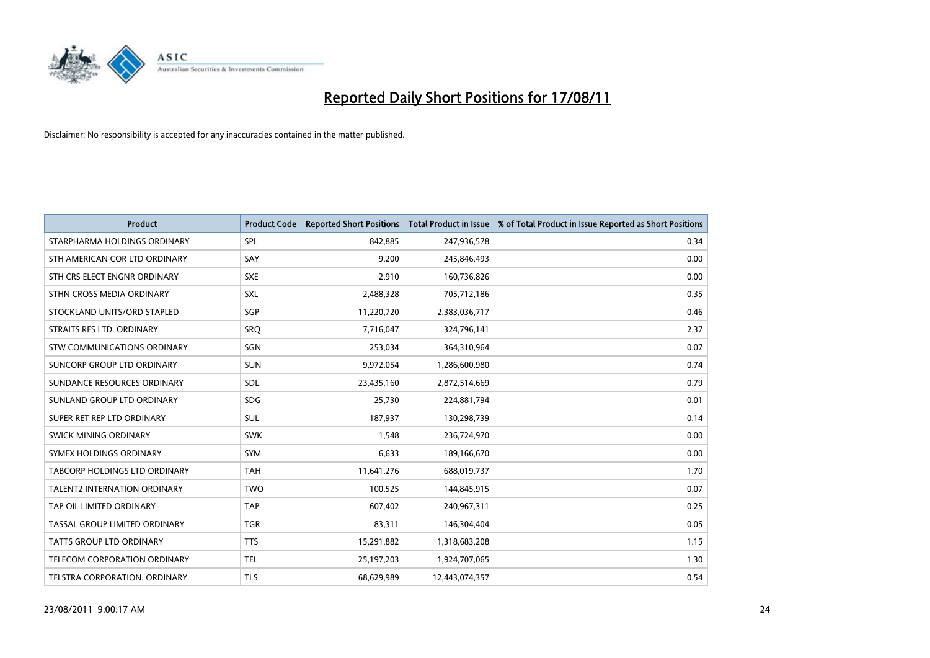

| <b>Product</b>                       | <b>Product Code</b> | <b>Reported Short Positions</b> | <b>Total Product in Issue</b> | % of Total Product in Issue Reported as Short Positions |
|--------------------------------------|---------------------|---------------------------------|-------------------------------|---------------------------------------------------------|
| STARPHARMA HOLDINGS ORDINARY         | SPL                 | 842,885                         | 247,936,578                   | 0.34                                                    |
| STH AMERICAN COR LTD ORDINARY        | SAY                 | 9,200                           | 245,846,493                   | 0.00                                                    |
| STH CRS ELECT ENGNR ORDINARY         | <b>SXE</b>          | 2,910                           | 160,736,826                   | 0.00                                                    |
| STHN CROSS MEDIA ORDINARY            | SXL                 | 2,488,328                       | 705,712,186                   | 0.35                                                    |
| STOCKLAND UNITS/ORD STAPLED          | <b>SGP</b>          | 11,220,720                      | 2,383,036,717                 | 0.46                                                    |
| STRAITS RES LTD. ORDINARY            | SRQ                 | 7,716,047                       | 324,796,141                   | 2.37                                                    |
| <b>STW COMMUNICATIONS ORDINARY</b>   | SGN                 | 253,034                         | 364,310,964                   | 0.07                                                    |
| SUNCORP GROUP LTD ORDINARY           | <b>SUN</b>          | 9,972,054                       | 1,286,600,980                 | 0.74                                                    |
| SUNDANCE RESOURCES ORDINARY          | <b>SDL</b>          | 23,435,160                      | 2,872,514,669                 | 0.79                                                    |
| SUNLAND GROUP LTD ORDINARY           | <b>SDG</b>          | 25,730                          | 224,881,794                   | 0.01                                                    |
| SUPER RET REP LTD ORDINARY           | <b>SUL</b>          | 187,937                         | 130,298,739                   | 0.14                                                    |
| <b>SWICK MINING ORDINARY</b>         | <b>SWK</b>          | 1,548                           | 236,724,970                   | 0.00                                                    |
| SYMEX HOLDINGS ORDINARY              | <b>SYM</b>          | 6,633                           | 189,166,670                   | 0.00                                                    |
| <b>TABCORP HOLDINGS LTD ORDINARY</b> | <b>TAH</b>          | 11,641,276                      | 688,019,737                   | 1.70                                                    |
| <b>TALENT2 INTERNATION ORDINARY</b>  | <b>TWO</b>          | 100,525                         | 144,845,915                   | 0.07                                                    |
| TAP OIL LIMITED ORDINARY             | <b>TAP</b>          | 607,402                         | 240,967,311                   | 0.25                                                    |
| TASSAL GROUP LIMITED ORDINARY        | <b>TGR</b>          | 83,311                          | 146,304,404                   | 0.05                                                    |
| TATTS GROUP LTD ORDINARY             | <b>TTS</b>          | 15,291,882                      | 1,318,683,208                 | 1.15                                                    |
| TELECOM CORPORATION ORDINARY         | <b>TEL</b>          | 25,197,203                      | 1,924,707,065                 | 1.30                                                    |
| <b>TELSTRA CORPORATION, ORDINARY</b> | <b>TLS</b>          | 68,629,989                      | 12,443,074,357                | 0.54                                                    |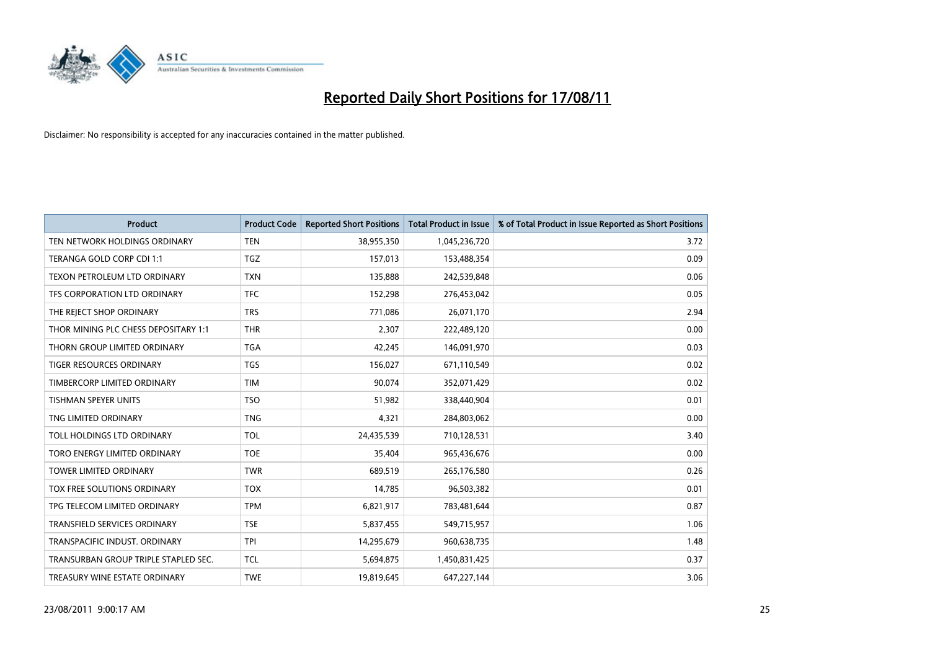

| <b>Product</b>                       | <b>Product Code</b> | <b>Reported Short Positions</b> | <b>Total Product in Issue</b> | % of Total Product in Issue Reported as Short Positions |
|--------------------------------------|---------------------|---------------------------------|-------------------------------|---------------------------------------------------------|
| TEN NETWORK HOLDINGS ORDINARY        | <b>TEN</b>          | 38,955,350                      | 1,045,236,720                 | 3.72                                                    |
| TERANGA GOLD CORP CDI 1:1            | <b>TGZ</b>          | 157,013                         | 153,488,354                   | 0.09                                                    |
| TEXON PETROLEUM LTD ORDINARY         | <b>TXN</b>          | 135,888                         | 242,539,848                   | 0.06                                                    |
| TFS CORPORATION LTD ORDINARY         | <b>TFC</b>          | 152,298                         | 276,453,042                   | 0.05                                                    |
| THE REJECT SHOP ORDINARY             | <b>TRS</b>          | 771,086                         | 26,071,170                    | 2.94                                                    |
| THOR MINING PLC CHESS DEPOSITARY 1:1 | <b>THR</b>          | 2,307                           | 222,489,120                   | 0.00                                                    |
| THORN GROUP LIMITED ORDINARY         | <b>TGA</b>          | 42,245                          | 146,091,970                   | 0.03                                                    |
| <b>TIGER RESOURCES ORDINARY</b>      | <b>TGS</b>          | 156,027                         | 671,110,549                   | 0.02                                                    |
| TIMBERCORP LIMITED ORDINARY          | <b>TIM</b>          | 90,074                          | 352,071,429                   | 0.02                                                    |
| <b>TISHMAN SPEYER UNITS</b>          | <b>TSO</b>          | 51,982                          | 338,440,904                   | 0.01                                                    |
| TNG LIMITED ORDINARY                 | <b>TNG</b>          | 4,321                           | 284,803,062                   | 0.00                                                    |
| TOLL HOLDINGS LTD ORDINARY           | <b>TOL</b>          | 24,435,539                      | 710,128,531                   | 3.40                                                    |
| TORO ENERGY LIMITED ORDINARY         | <b>TOE</b>          | 35,404                          | 965,436,676                   | 0.00                                                    |
| <b>TOWER LIMITED ORDINARY</b>        | <b>TWR</b>          | 689,519                         | 265,176,580                   | 0.26                                                    |
| <b>TOX FREE SOLUTIONS ORDINARY</b>   | <b>TOX</b>          | 14,785                          | 96,503,382                    | 0.01                                                    |
| TPG TELECOM LIMITED ORDINARY         | <b>TPM</b>          | 6,821,917                       | 783,481,644                   | 0.87                                                    |
| TRANSFIELD SERVICES ORDINARY         | <b>TSE</b>          | 5,837,455                       | 549,715,957                   | 1.06                                                    |
| TRANSPACIFIC INDUST, ORDINARY        | <b>TPI</b>          | 14,295,679                      | 960,638,735                   | 1.48                                                    |
| TRANSURBAN GROUP TRIPLE STAPLED SEC. | <b>TCL</b>          | 5,694,875                       | 1,450,831,425                 | 0.37                                                    |
| TREASURY WINE ESTATE ORDINARY        | <b>TWE</b>          | 19,819,645                      | 647,227,144                   | 3.06                                                    |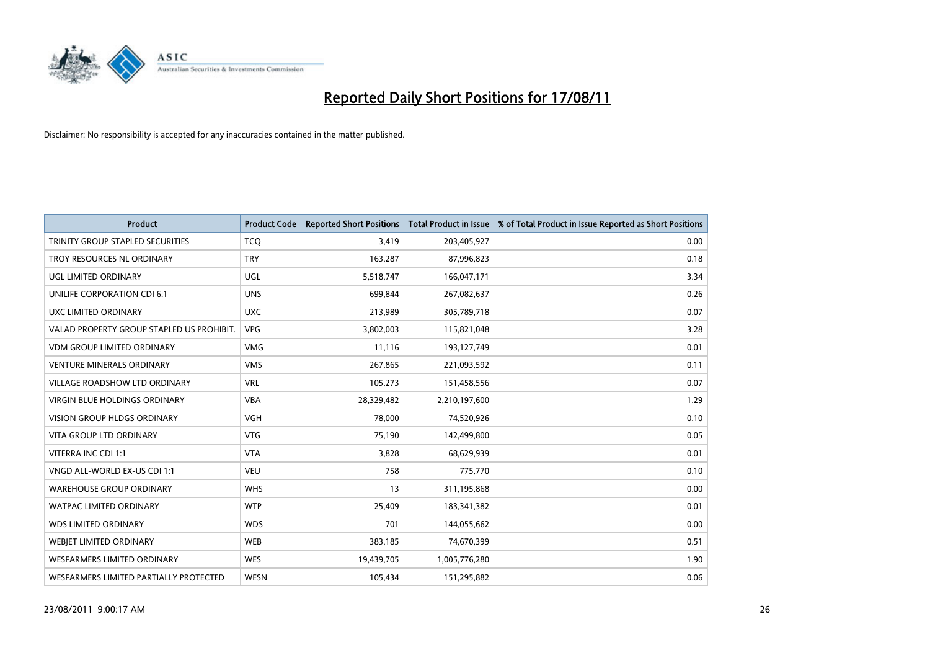

| <b>Product</b>                            | <b>Product Code</b> | <b>Reported Short Positions</b> | <b>Total Product in Issue</b> | % of Total Product in Issue Reported as Short Positions |
|-------------------------------------------|---------------------|---------------------------------|-------------------------------|---------------------------------------------------------|
| TRINITY GROUP STAPLED SECURITIES          | <b>TCQ</b>          | 3,419                           | 203,405,927                   | 0.00                                                    |
| TROY RESOURCES NL ORDINARY                | <b>TRY</b>          | 163,287                         | 87,996,823                    | 0.18                                                    |
| <b>UGL LIMITED ORDINARY</b>               | UGL                 | 5,518,747                       | 166,047,171                   | 3.34                                                    |
| UNILIFE CORPORATION CDI 6:1               | <b>UNS</b>          | 699,844                         | 267,082,637                   | 0.26                                                    |
| UXC LIMITED ORDINARY                      | <b>UXC</b>          | 213,989                         | 305,789,718                   | 0.07                                                    |
| VALAD PROPERTY GROUP STAPLED US PROHIBIT. | <b>VPG</b>          | 3,802,003                       | 115,821,048                   | 3.28                                                    |
| <b>VDM GROUP LIMITED ORDINARY</b>         | <b>VMG</b>          | 11,116                          | 193,127,749                   | 0.01                                                    |
| <b>VENTURE MINERALS ORDINARY</b>          | <b>VMS</b>          | 267,865                         | 221,093,592                   | 0.11                                                    |
| <b>VILLAGE ROADSHOW LTD ORDINARY</b>      | <b>VRL</b>          | 105,273                         | 151,458,556                   | 0.07                                                    |
| <b>VIRGIN BLUE HOLDINGS ORDINARY</b>      | <b>VBA</b>          | 28,329,482                      | 2,210,197,600                 | 1.29                                                    |
| VISION GROUP HLDGS ORDINARY               | <b>VGH</b>          | 78,000                          | 74,520,926                    | 0.10                                                    |
| <b>VITA GROUP LTD ORDINARY</b>            | <b>VTG</b>          | 75,190                          | 142,499,800                   | 0.05                                                    |
| VITERRA INC CDI 1:1                       | <b>VTA</b>          | 3,828                           | 68,629,939                    | 0.01                                                    |
| VNGD ALL-WORLD EX-US CDI 1:1              | <b>VEU</b>          | 758                             | 775,770                       | 0.10                                                    |
| <b>WAREHOUSE GROUP ORDINARY</b>           | <b>WHS</b>          | 13                              | 311,195,868                   | 0.00                                                    |
| <b>WATPAC LIMITED ORDINARY</b>            | <b>WTP</b>          | 25,409                          | 183,341,382                   | 0.01                                                    |
| <b>WDS LIMITED ORDINARY</b>               | <b>WDS</b>          | 701                             | 144,055,662                   | 0.00                                                    |
| WEBJET LIMITED ORDINARY                   | <b>WEB</b>          | 383,185                         | 74,670,399                    | 0.51                                                    |
| <b>WESFARMERS LIMITED ORDINARY</b>        | <b>WES</b>          | 19,439,705                      | 1,005,776,280                 | 1.90                                                    |
| WESFARMERS LIMITED PARTIALLY PROTECTED    | <b>WESN</b>         | 105,434                         | 151,295,882                   | 0.06                                                    |